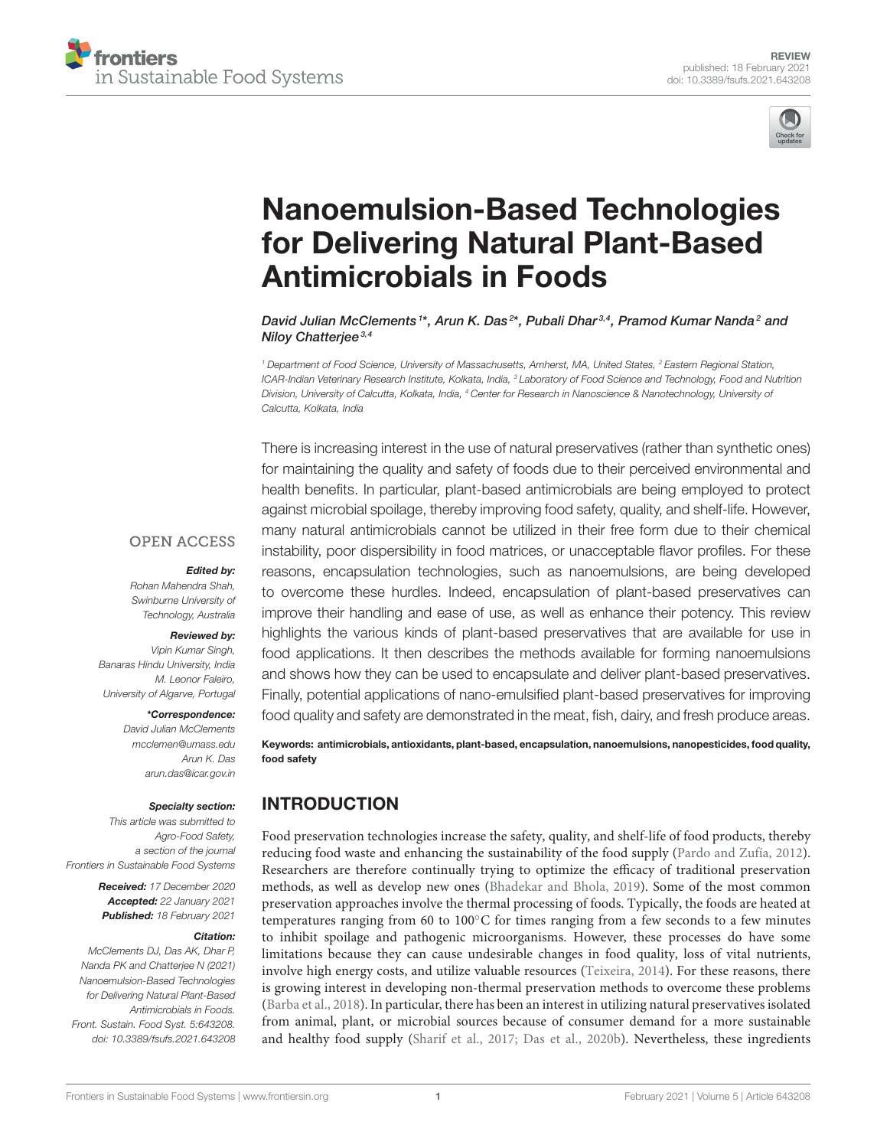



# Nanoemulsion-Based Technologies for Delivering Natural Plant-Based Antimicrobials in Foods

David Julian McClements <sup>1\*</sup>, Arun K. Das<sup>2\*</sup>, Pubali Dhar<sup>3,4</sup>, Pramod Kumar Nanda<sup>2</sup> and Niloy Chatterjee<sup>3,4</sup>

*<sup>1</sup> Department of Food Science, University of Massachusetts, Amherst, MA, United States, <sup>2</sup> Eastern Regional Station, ICAR-Indian Veterinary Research Institute, Kolkata, India, <sup>3</sup> Laboratory of Food Science and Technology, Food and Nutrition Division, University of Calcutta, Kolkata, India, <sup>4</sup> Center for Research in Nanoscience & Nanotechnology, University of Calcutta, Kolkata, India*

There is increasing interest in the use of natural preservatives (rather than synthetic ones) for maintaining the quality and safety of foods due to their perceived environmental and health benefits. In particular, plant-based antimicrobials are being employed to protect against microbial spoilage, thereby improving food safety, quality, and shelf-life. However, many natural antimicrobials cannot be utilized in their free form due to their chemical instability, poor dispersibility in food matrices, or unacceptable flavor profiles. For these reasons, encapsulation technologies, such as nanoemulsions, are being developed to overcome these hurdles. Indeed, encapsulation of plant-based preservatives can improve their handling and ease of use, as well as enhance their potency. This review highlights the various kinds of plant-based preservatives that are available for use in food applications. It then describes the methods available for forming nanoemulsions and shows how they can be used to encapsulate and deliver plant-based preservatives. Finally, potential applications of nano-emulsified plant-based preservatives for improving food quality and safety are demonstrated in the meat, fish, dairy, and fresh produce areas.

## **OPEN ACCESS**

#### Edited by:

*Rohan Mahendra Shah, Swinburne University of Technology, Australia*

#### Reviewed by:

*Vipin Kumar Singh, Banaras Hindu University, India M. Leonor Faleiro, University of Algarve, Portugal*

#### \*Correspondence:

*David Julian McClements mcclemen@umass.edu Arun K. Das arun.das@icar.gov.in*

#### Specialty section:

*This article was submitted to Agro-Food Safety, a section of the journal Frontiers in Sustainable Food Systems*

> Received: *17 December 2020* Accepted: *22 January 2021* Published: *18 February 2021*

#### Citation:

*McClements DJ, Das AK, Dhar P, Nanda PK and Chatterjee N (2021) Nanoemulsion-Based Technologies for Delivering Natural Plant-Based Antimicrobials in Foods. Front. Sustain. Food Syst. 5:643208. doi: 10.3389/fsufs.2021.643208*

Keywords: antimicrobials, antioxidants, plant-based, encapsulation, nanoemulsions, nanopesticides, food quality, food safety

## INTRODUCTION

Food preservation technologies increase the safety, quality, and shelf-life of food products, thereby reducing food waste and enhancing the sustainability of the food supply (Pardo and Zufía, 2012). Researchers are therefore continually trying to optimize the efficacy of traditional preservation methods, as well as develop new ones (Bhadekar and Bhola, 2019). Some of the most common preservation approaches involve the thermal processing of foods. Typically, the foods are heated at temperatures ranging from 60 to 100◦C for times ranging from a few seconds to a few minutes to inhibit spoilage and pathogenic microorganisms. However, these processes do have some limitations because they can cause undesirable changes in food quality, loss of vital nutrients, involve high energy costs, and utilize valuable resources (Teixeira, 2014). For these reasons, there is growing interest in developing non-thermal preservation methods to overcome these problems (Barba et al., 2018). In particular, there has been an interest in utilizing natural preservatives isolated from animal, plant, or microbial sources because of consumer demand for a more sustainable and healthy food supply (Sharif et al., 2017; Das et al., 2020b). Nevertheless, these ingredients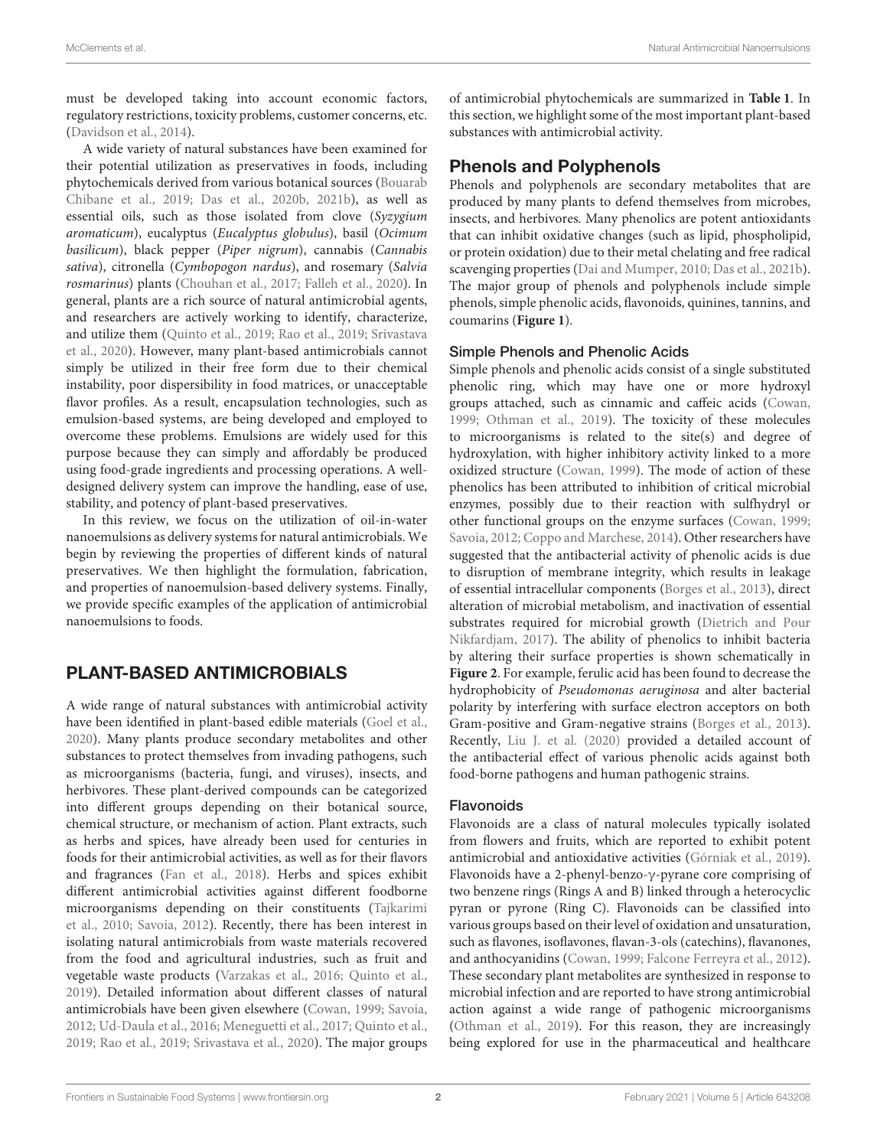must be developed taking into account economic factors, regulatory restrictions, toxicity problems, customer concerns, etc. (Davidson et al., 2014).

A wide variety of natural substances have been examined for their potential utilization as preservatives in foods, including phytochemicals derived from various botanical sources (Bouarab Chibane et al., 2019; Das et al., 2020b, 2021b), as well as essential oils, such as those isolated from clove (Syzygium aromaticum), eucalyptus (Eucalyptus globulus), basil (Ocimum basilicum), black pepper (Piper nigrum), cannabis (Cannabis sativa), citronella (Cymbopogon nardus), and rosemary (Salvia rosmarinus) plants (Chouhan et al., 2017; Falleh et al., 2020). In general, plants are a rich source of natural antimicrobial agents, and researchers are actively working to identify, characterize, and utilize them (Quinto et al., 2019; Rao et al., 2019; Srivastava et al., 2020). However, many plant-based antimicrobials cannot simply be utilized in their free form due to their chemical instability, poor dispersibility in food matrices, or unacceptable flavor profiles. As a result, encapsulation technologies, such as emulsion-based systems, are being developed and employed to overcome these problems. Emulsions are widely used for this purpose because they can simply and affordably be produced using food-grade ingredients and processing operations. A welldesigned delivery system can improve the handling, ease of use, stability, and potency of plant-based preservatives.

In this review, we focus on the utilization of oil-in-water nanoemulsions as delivery systems for natural antimicrobials. We begin by reviewing the properties of different kinds of natural preservatives. We then highlight the formulation, fabrication, and properties of nanoemulsion-based delivery systems. Finally, we provide specific examples of the application of antimicrobial nanoemulsions to foods.

# PLANT-BASED ANTIMICROBIALS

A wide range of natural substances with antimicrobial activity have been identified in plant-based edible materials (Goel et al., 2020). Many plants produce secondary metabolites and other substances to protect themselves from invading pathogens, such as microorganisms (bacteria, fungi, and viruses), insects, and herbivores. These plant-derived compounds can be categorized into different groups depending on their botanical source, chemical structure, or mechanism of action. Plant extracts, such as herbs and spices, have already been used for centuries in foods for their antimicrobial activities, as well as for their flavors and fragrances (Fan et al., 2018). Herbs and spices exhibit different antimicrobial activities against different foodborne microorganisms depending on their constituents (Tajkarimi et al., 2010; Savoia, 2012). Recently, there has been interest in isolating natural antimicrobials from waste materials recovered from the food and agricultural industries, such as fruit and vegetable waste products (Varzakas et al., 2016; Quinto et al., 2019). Detailed information about different classes of natural antimicrobials have been given elsewhere (Cowan, 1999; Savoia, 2012; Ud-Daula et al., 2016; Meneguetti et al., 2017; Quinto et al., 2019; Rao et al., 2019; Srivastava et al., 2020). The major groups of antimicrobial phytochemicals are summarized in **Table 1**. In this section, we highlight some of the most important plant-based substances with antimicrobial activity.

# Phenols and Polyphenols

Phenols and polyphenols are secondary metabolites that are produced by many plants to defend themselves from microbes, insects, and herbivores. Many phenolics are potent antioxidants that can inhibit oxidative changes (such as lipid, phospholipid, or protein oxidation) due to their metal chelating and free radical scavenging properties (Dai and Mumper, 2010; Das et al., 2021b). The major group of phenols and polyphenols include simple phenols, simple phenolic acids, flavonoids, quinines, tannins, and coumarins (**Figure 1**).

## Simple Phenols and Phenolic Acids

Simple phenols and phenolic acids consist of a single substituted phenolic ring, which may have one or more hydroxyl groups attached, such as cinnamic and caffeic acids (Cowan, 1999; Othman et al., 2019). The toxicity of these molecules to microorganisms is related to the site(s) and degree of hydroxylation, with higher inhibitory activity linked to a more oxidized structure (Cowan, 1999). The mode of action of these phenolics has been attributed to inhibition of critical microbial enzymes, possibly due to their reaction with sulfhydryl or other functional groups on the enzyme surfaces (Cowan, 1999; Savoia, 2012; Coppo and Marchese, 2014). Other researchers have suggested that the antibacterial activity of phenolic acids is due to disruption of membrane integrity, which results in leakage of essential intracellular components (Borges et al., 2013), direct alteration of microbial metabolism, and inactivation of essential substrates required for microbial growth (Dietrich and Pour Nikfardjam, 2017). The ability of phenolics to inhibit bacteria by altering their surface properties is shown schematically in **Figure 2**. For example, ferulic acid has been found to decrease the hydrophobicity of Pseudomonas aeruginosa and alter bacterial polarity by interfering with surface electron acceptors on both Gram-positive and Gram-negative strains (Borges et al., 2013). Recently, Liu J. et al. (2020) provided a detailed account of the antibacterial effect of various phenolic acids against both food-borne pathogens and human pathogenic strains.

## Flavonoids

Flavonoids are a class of natural molecules typically isolated from flowers and fruits, which are reported to exhibit potent antimicrobial and antioxidative activities (Górniak et al., 2019). Flavonoids have a 2-phenyl-benzo-γ-pyrane core comprising of two benzene rings (Rings A and B) linked through a heterocyclic pyran or pyrone (Ring C). Flavonoids can be classified into various groups based on their level of oxidation and unsaturation, such as flavones, isoflavones, flavan-3-ols (catechins), flavanones, and anthocyanidins (Cowan, 1999; Falcone Ferreyra et al., 2012). These secondary plant metabolites are synthesized in response to microbial infection and are reported to have strong antimicrobial action against a wide range of pathogenic microorganisms (Othman et al., 2019). For this reason, they are increasingly being explored for use in the pharmaceutical and healthcare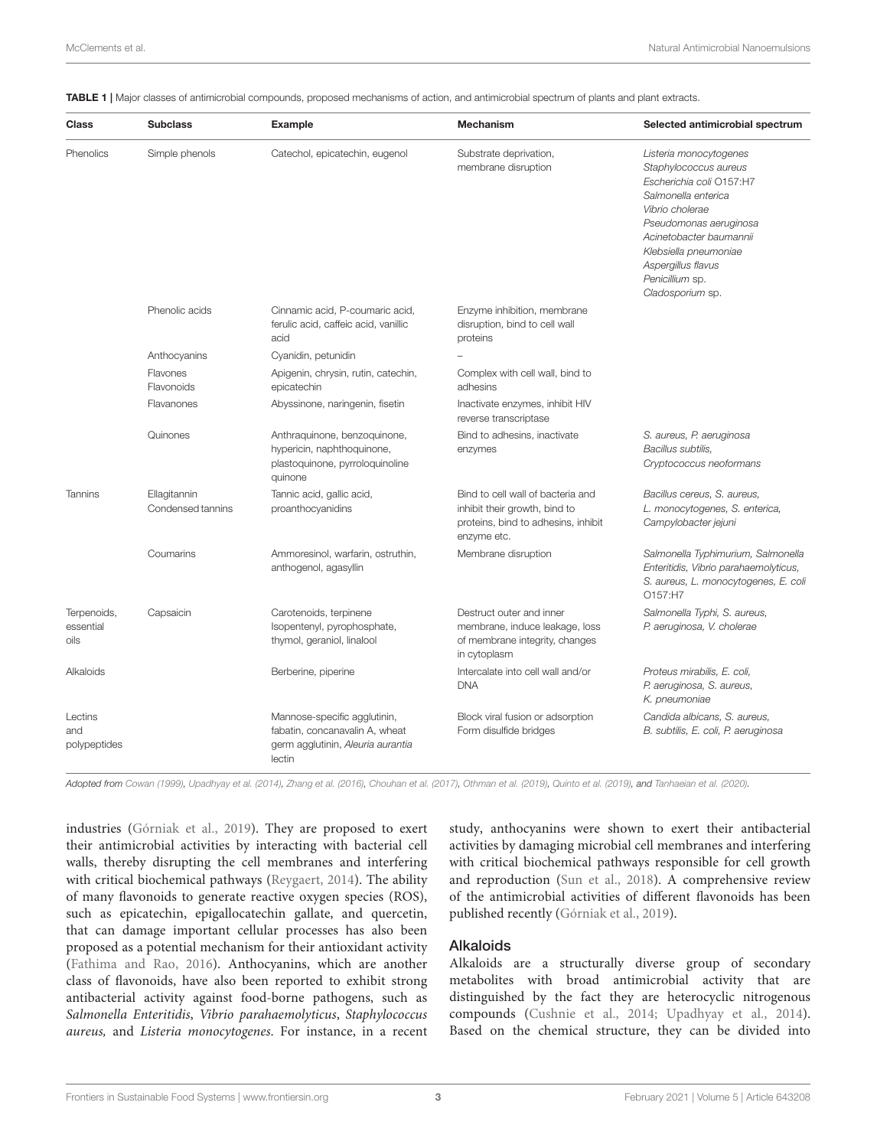| Class                            | <b>Subclass</b>                   | <b>Example</b>                                                                                                | <b>Mechanism</b>                                                                                                         | Selected antimicrobial spectrum                                                                                                                                                                                                                                  |
|----------------------------------|-----------------------------------|---------------------------------------------------------------------------------------------------------------|--------------------------------------------------------------------------------------------------------------------------|------------------------------------------------------------------------------------------------------------------------------------------------------------------------------------------------------------------------------------------------------------------|
| Phenolics                        | Simple phenols                    | Catechol, epicatechin, eugenol                                                                                | Substrate deprivation,<br>membrane disruption                                                                            | Listeria monocytogenes<br>Staphylococcus aureus<br>Escherichia coli O157:H7<br>Salmonella enterica<br>Vibrio cholerae<br>Pseudomonas aeruginosa<br>Acinetobacter baumannii<br>Klebsiella pneumoniae<br>Aspergillus flavus<br>Penicillium sp.<br>Cladosporium sp. |
|                                  | Phenolic acids                    | Cinnamic acid, P-coumaric acid,<br>ferulic acid, caffeic acid, vanillic<br>acid                               | Enzyme inhibition, membrane<br>disruption, bind to cell wall<br>proteins                                                 |                                                                                                                                                                                                                                                                  |
|                                  | Anthocyanins                      | Cyanidin, petunidin                                                                                           |                                                                                                                          |                                                                                                                                                                                                                                                                  |
|                                  | Flavones<br>Flavonoids            | Apigenin, chrysin, rutin, catechin,<br>epicatechin                                                            | Complex with cell wall, bind to<br>adhesins                                                                              |                                                                                                                                                                                                                                                                  |
|                                  | Flavanones                        | Abyssinone, naringenin, fisetin                                                                               | Inactivate enzymes, inhibit HIV<br>reverse transcriptase                                                                 |                                                                                                                                                                                                                                                                  |
|                                  | Quinones                          | Anthraquinone, benzoquinone,<br>hypericin, naphthoquinone,<br>plastoquinone, pyrroloquinoline<br>quinone      | Bind to adhesins, inactivate<br>enzymes                                                                                  | S. aureus, P. aeruginosa<br>Bacillus subtilis,<br>Cryptococcus neoformans                                                                                                                                                                                        |
| Tannins                          | Ellagitannin<br>Condensed tannins | Tannic acid, gallic acid,<br>proanthocyanidins                                                                | Bind to cell wall of bacteria and<br>inhibit their growth, bind to<br>proteins, bind to adhesins, inhibit<br>enzyme etc. | Bacillus cereus, S. aureus,<br>L. monocytogenes, S. enterica,<br>Campylobacter jejuni                                                                                                                                                                            |
|                                  | Coumarins                         | Ammoresinol, warfarin, ostruthin,<br>anthogenol, agasyllin                                                    | Membrane disruption                                                                                                      | Salmonella Typhimurium, Salmonella<br>Enteritidis, Vibrio parahaemolyticus,<br>S. aureus, L. monocytogenes, E. coli<br>O157:H7                                                                                                                                   |
| Terpenoids,<br>essential<br>oils | Capsaicin                         | Carotenoids, terpinene<br>Isopentenyl, pyrophosphate,<br>thymol, geraniol, linalool                           | Destruct outer and inner<br>membrane, induce leakage, loss<br>of membrane integrity, changes<br>in cytoplasm             | Salmonella Typhi, S. aureus,<br>P. aeruginosa, V. cholerae                                                                                                                                                                                                       |
| Alkaloids                        |                                   | Berberine, piperine                                                                                           | Intercalate into cell wall and/or<br><b>DNA</b>                                                                          | Proteus mirabilis, E. coli,<br>P. aeruginosa, S. aureus,<br>K. pneumoniae                                                                                                                                                                                        |
| Lectins<br>and<br>polypeptides   |                                   | Mannose-specific agglutinin,<br>fabatin, concanavalin A, wheat<br>germ agglutinin, Aleuria aurantia<br>lectin | Block viral fusion or adsorption<br>Form disulfide bridges                                                               | Candida albicans, S. aureus,<br>B. subtilis, E. coli, P. aeruginosa                                                                                                                                                                                              |

TABLE 1 | Major classes of antimicrobial compounds, proposed mechanisms of action, and antimicrobial spectrum of plants and plant extracts.

*Adopted from Cowan (1999), Upadhyay et al. (2014), Zhang et al. (2016), Chouhan et al. (2017), Othman et al. (2019), Quinto et al. (2019), and Tanhaeian et al. (2020).*

industries (Górniak et al., 2019). They are proposed to exert their antimicrobial activities by interacting with bacterial cell walls, thereby disrupting the cell membranes and interfering with critical biochemical pathways (Reygaert, 2014). The ability of many flavonoids to generate reactive oxygen species (ROS), such as epicatechin, epigallocatechin gallate, and quercetin, that can damage important cellular processes has also been proposed as a potential mechanism for their antioxidant activity (Fathima and Rao, 2016). Anthocyanins, which are another class of flavonoids, have also been reported to exhibit strong antibacterial activity against food-borne pathogens, such as Salmonella Enteritidis, Vibrio parahaemolyticus, Staphylococcus aureus, and Listeria monocytogenes. For instance, in a recent study, anthocyanins were shown to exert their antibacterial activities by damaging microbial cell membranes and interfering with critical biochemical pathways responsible for cell growth and reproduction (Sun et al., 2018). A comprehensive review of the antimicrobial activities of different flavonoids has been published recently (Górniak et al., 2019).

#### Alkaloids

Alkaloids are a structurally diverse group of secondary metabolites with broad antimicrobial activity that are distinguished by the fact they are heterocyclic nitrogenous compounds (Cushnie et al., 2014; Upadhyay et al., 2014). Based on the chemical structure, they can be divided into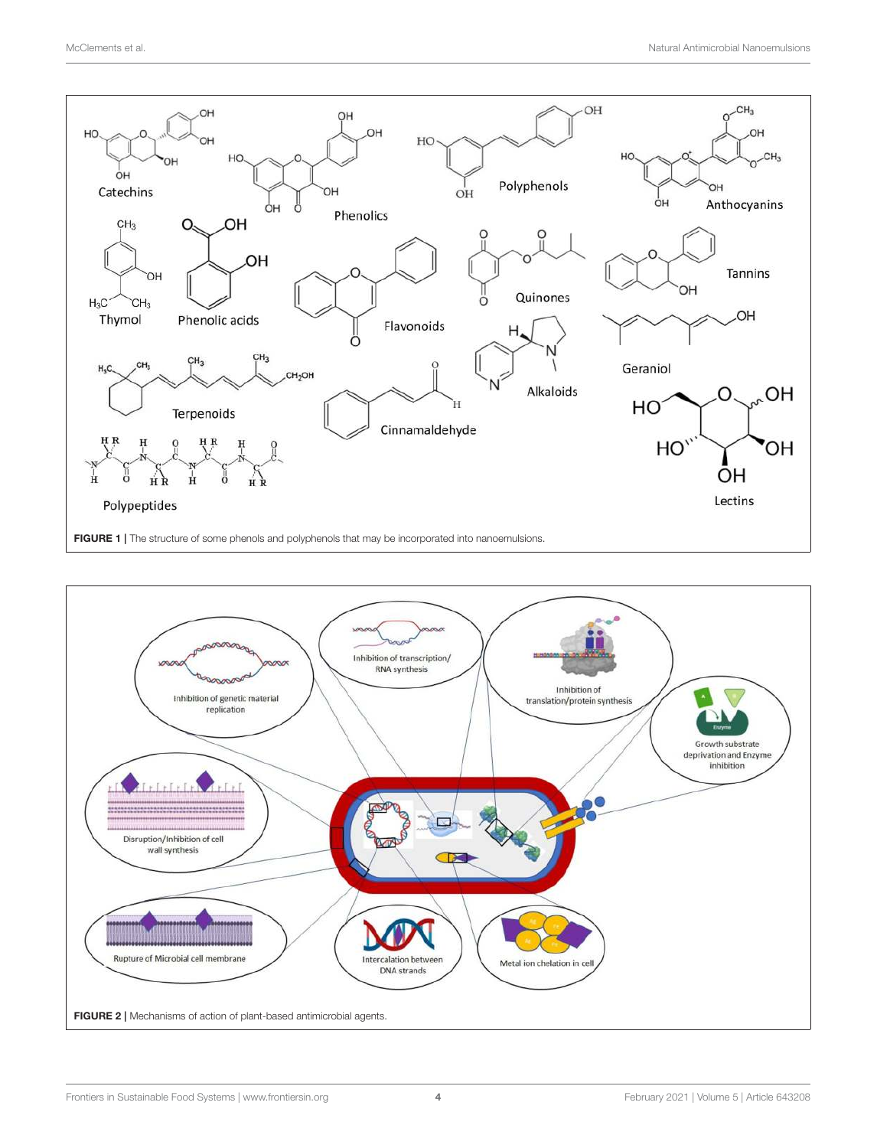

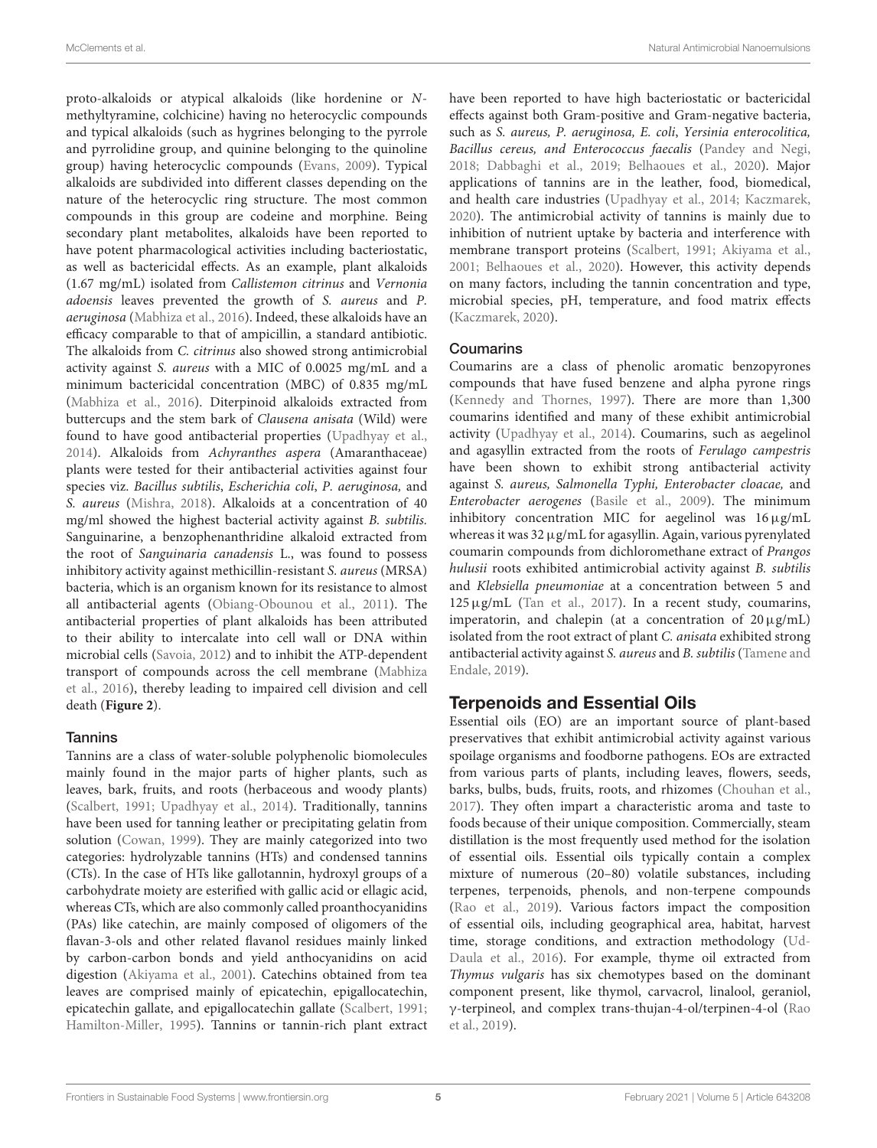proto-alkaloids or atypical alkaloids (like hordenine or Nmethyltyramine, colchicine) having no heterocyclic compounds and typical alkaloids (such as hygrines belonging to the pyrrole and pyrrolidine group, and quinine belonging to the quinoline group) having heterocyclic compounds (Evans, 2009). Typical alkaloids are subdivided into different classes depending on the nature of the heterocyclic ring structure. The most common compounds in this group are codeine and morphine. Being secondary plant metabolites, alkaloids have been reported to have potent pharmacological activities including bacteriostatic, as well as bactericidal effects. As an example, plant alkaloids (1.67 mg/mL) isolated from Callistemon citrinus and Vernonia adoensis leaves prevented the growth of S. aureus and P. aeruginosa (Mabhiza et al., 2016). Indeed, these alkaloids have an efficacy comparable to that of ampicillin, a standard antibiotic. The alkaloids from C. citrinus also showed strong antimicrobial activity against S. aureus with a MIC of 0.0025 mg/mL and a minimum bactericidal concentration (MBC) of 0.835 mg/mL (Mabhiza et al., 2016). Diterpinoid alkaloids extracted from buttercups and the stem bark of Clausena anisata (Wild) were found to have good antibacterial properties (Upadhyay et al., 2014). Alkaloids from Achyranthes aspera (Amaranthaceae) plants were tested for their antibacterial activities against four species viz. Bacillus subtilis, Escherichia coli, P. aeruginosa, and S. aureus (Mishra, 2018). Alkaloids at a concentration of 40 mg/ml showed the highest bacterial activity against B. subtilis. Sanguinarine, a benzophenanthridine alkaloid extracted from the root of Sanguinaria canadensis L., was found to possess inhibitory activity against methicillin-resistant S. aureus (MRSA) bacteria, which is an organism known for its resistance to almost all antibacterial agents (Obiang-Obounou et al., 2011). The antibacterial properties of plant alkaloids has been attributed to their ability to intercalate into cell wall or DNA within microbial cells (Savoia, 2012) and to inhibit the ATP-dependent transport of compounds across the cell membrane (Mabhiza et al., 2016), thereby leading to impaired cell division and cell death (**Figure 2**).

#### **Tannins**

Tannins are a class of water-soluble polyphenolic biomolecules mainly found in the major parts of higher plants, such as leaves, bark, fruits, and roots (herbaceous and woody plants) (Scalbert, 1991; Upadhyay et al., 2014). Traditionally, tannins have been used for tanning leather or precipitating gelatin from solution (Cowan, 1999). They are mainly categorized into two categories: hydrolyzable tannins (HTs) and condensed tannins (CTs). In the case of HTs like gallotannin, hydroxyl groups of a carbohydrate moiety are esterified with gallic acid or ellagic acid, whereas CTs, which are also commonly called proanthocyanidins (PAs) like catechin, are mainly composed of oligomers of the flavan-3-ols and other related flavanol residues mainly linked by carbon-carbon bonds and yield anthocyanidins on acid digestion (Akiyama et al., 2001). Catechins obtained from tea leaves are comprised mainly of epicatechin, epigallocatechin, epicatechin gallate, and epigallocatechin gallate (Scalbert, 1991; Hamilton-Miller, 1995). Tannins or tannin-rich plant extract have been reported to have high bacteriostatic or bactericidal effects against both Gram-positive and Gram-negative bacteria, such as S. aureus, P. aeruginosa, E. coli, Yersinia enterocolitica, Bacillus cereus, and Enterococcus faecalis (Pandey and Negi, 2018; Dabbaghi et al., 2019; Belhaoues et al., 2020). Major applications of tannins are in the leather, food, biomedical, and health care industries (Upadhyay et al., 2014; Kaczmarek, 2020). The antimicrobial activity of tannins is mainly due to inhibition of nutrient uptake by bacteria and interference with membrane transport proteins (Scalbert, 1991; Akiyama et al., 2001; Belhaoues et al., 2020). However, this activity depends on many factors, including the tannin concentration and type, microbial species, pH, temperature, and food matrix effects (Kaczmarek, 2020).

#### Coumarins

Coumarins are a class of phenolic aromatic benzopyrones compounds that have fused benzene and alpha pyrone rings (Kennedy and Thornes, 1997). There are more than 1,300 coumarins identified and many of these exhibit antimicrobial activity (Upadhyay et al., 2014). Coumarins, such as aegelinol and agasyllin extracted from the roots of Ferulago campestris have been shown to exhibit strong antibacterial activity against S. aureus, Salmonella Typhi, Enterobacter cloacae, and Enterobacter aerogenes (Basile et al., 2009). The minimum inhibitory concentration MIC for aegelinol was 16µg/mL whereas it was 32 µg/mL for agasyllin. Again, various pyrenylated coumarin compounds from dichloromethane extract of Prangos hulusii roots exhibited antimicrobial activity against B. subtilis and Klebsiella pneumoniae at a concentration between 5 and  $125 \,\mathrm{\upmu}\mathrm{g/mL}$  (Tan et al., 2017). In a recent study, coumarins, imperatorin, and chalepin (at a concentration of  $20 \mu g/mL$ ) isolated from the root extract of plant C. anisata exhibited strong antibacterial activity against S. aureus and B. subtilis (Tamene and Endale, 2019).

# Terpenoids and Essential Oils

Essential oils (EO) are an important source of plant-based preservatives that exhibit antimicrobial activity against various spoilage organisms and foodborne pathogens. EOs are extracted from various parts of plants, including leaves, flowers, seeds, barks, bulbs, buds, fruits, roots, and rhizomes (Chouhan et al., 2017). They often impart a characteristic aroma and taste to foods because of their unique composition. Commercially, steam distillation is the most frequently used method for the isolation of essential oils. Essential oils typically contain a complex mixture of numerous (20–80) volatile substances, including terpenes, terpenoids, phenols, and non-terpene compounds (Rao et al., 2019). Various factors impact the composition of essential oils, including geographical area, habitat, harvest time, storage conditions, and extraction methodology (Ud-Daula et al., 2016). For example, thyme oil extracted from Thymus vulgaris has six chemotypes based on the dominant component present, like thymol, carvacrol, linalool, geraniol, γ-terpineol, and complex trans-thujan-4-ol/terpinen-4-ol (Rao et al., 2019).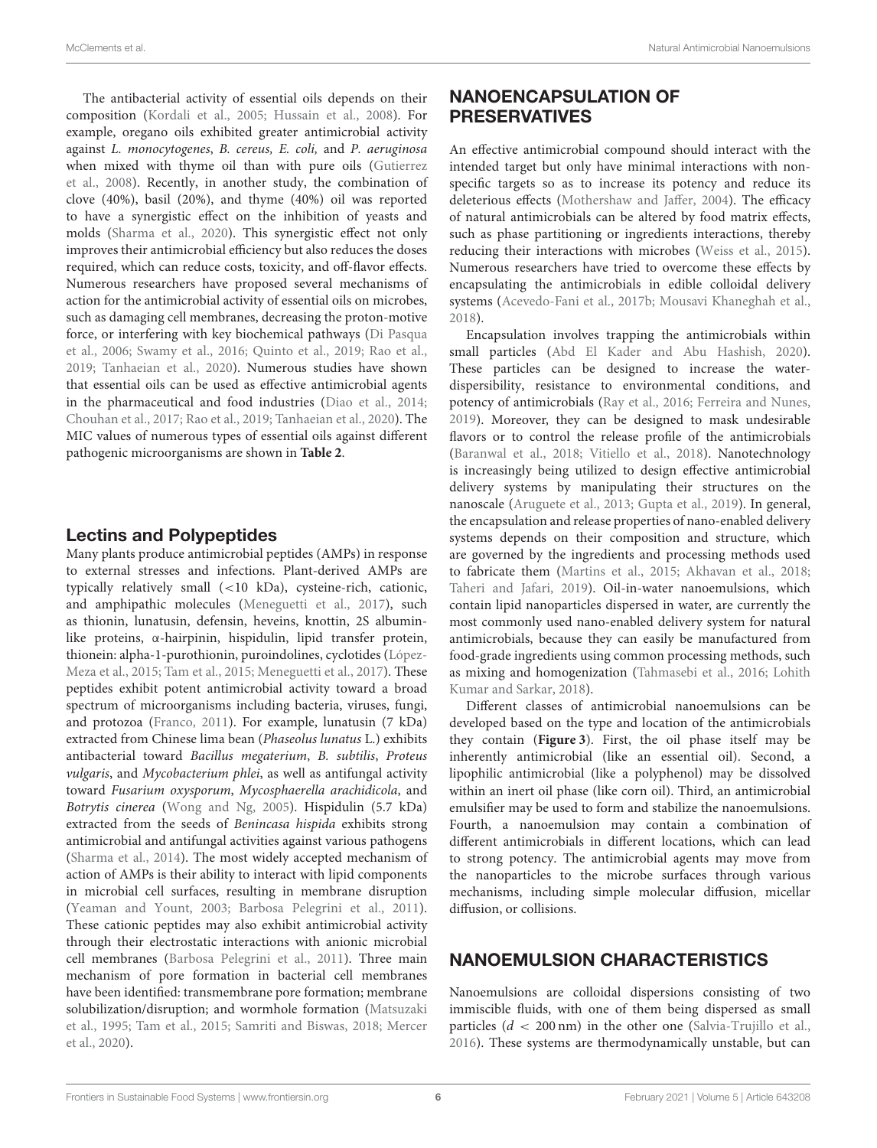The antibacterial activity of essential oils depends on their composition (Kordali et al., 2005; Hussain et al., 2008). For example, oregano oils exhibited greater antimicrobial activity against L. monocytogenes, B. cereus, E. coli, and P. aeruginosa when mixed with thyme oil than with pure oils (Gutierrez et al., 2008). Recently, in another study, the combination of clove (40%), basil (20%), and thyme (40%) oil was reported to have a synergistic effect on the inhibition of yeasts and molds (Sharma et al., 2020). This synergistic effect not only improves their antimicrobial efficiency but also reduces the doses required, which can reduce costs, toxicity, and off-flavor effects. Numerous researchers have proposed several mechanisms of action for the antimicrobial activity of essential oils on microbes, such as damaging cell membranes, decreasing the proton-motive force, or interfering with key biochemical pathways (Di Pasqua et al., 2006; Swamy et al., 2016; Quinto et al., 2019; Rao et al., 2019; Tanhaeian et al., 2020). Numerous studies have shown that essential oils can be used as effective antimicrobial agents in the pharmaceutical and food industries (Diao et al., 2014; Chouhan et al., 2017; Rao et al., 2019; Tanhaeian et al., 2020). The MIC values of numerous types of essential oils against different pathogenic microorganisms are shown in **Table 2**.

## Lectins and Polypeptides

Many plants produce antimicrobial peptides (AMPs) in response to external stresses and infections. Plant-derived AMPs are typically relatively small (<10 kDa), cysteine-rich, cationic, and amphipathic molecules (Meneguetti et al., 2017), such as thionin, lunatusin, defensin, heveins, knottin, 2S albuminlike proteins, α-hairpinin, hispidulin, lipid transfer protein, thionein: alpha-1-purothionin, puroindolines, cyclotides (López-Meza et al., 2015; Tam et al., 2015; Meneguetti et al., 2017). These peptides exhibit potent antimicrobial activity toward a broad spectrum of microorganisms including bacteria, viruses, fungi, and protozoa (Franco, 2011). For example, lunatusin (7 kDa) extracted from Chinese lima bean (Phaseolus lunatus L.) exhibits antibacterial toward Bacillus megaterium, B. subtilis, Proteus vulgaris, and Mycobacterium phlei, as well as antifungal activity toward Fusarium oxysporum, Mycosphaerella arachidicola, and Botrytis cinerea (Wong and Ng, 2005). Hispidulin (5.7 kDa) extracted from the seeds of Benincasa hispida exhibits strong antimicrobial and antifungal activities against various pathogens (Sharma et al., 2014). The most widely accepted mechanism of action of AMPs is their ability to interact with lipid components in microbial cell surfaces, resulting in membrane disruption (Yeaman and Yount, 2003; Barbosa Pelegrini et al., 2011). These cationic peptides may also exhibit antimicrobial activity through their electrostatic interactions with anionic microbial cell membranes (Barbosa Pelegrini et al., 2011). Three main mechanism of pore formation in bacterial cell membranes have been identified: transmembrane pore formation; membrane solubilization/disruption; and wormhole formation (Matsuzaki et al., 1995; Tam et al., 2015; Samriti and Biswas, 2018; Mercer et al., 2020).

# NANOENCAPSULATION OF PRESERVATIVES

An effective antimicrobial compound should interact with the intended target but only have minimal interactions with nonspecific targets so as to increase its potency and reduce its deleterious effects (Mothershaw and Jaffer, 2004). The efficacy of natural antimicrobials can be altered by food matrix effects, such as phase partitioning or ingredients interactions, thereby reducing their interactions with microbes (Weiss et al., 2015). Numerous researchers have tried to overcome these effects by encapsulating the antimicrobials in edible colloidal delivery systems (Acevedo-Fani et al., 2017b; Mousavi Khaneghah et al., 2018).

Encapsulation involves trapping the antimicrobials within small particles (Abd El Kader and Abu Hashish, 2020). These particles can be designed to increase the waterdispersibility, resistance to environmental conditions, and potency of antimicrobials (Ray et al., 2016; Ferreira and Nunes, 2019). Moreover, they can be designed to mask undesirable flavors or to control the release profile of the antimicrobials (Baranwal et al., 2018; Vitiello et al., 2018). Nanotechnology is increasingly being utilized to design effective antimicrobial delivery systems by manipulating their structures on the nanoscale (Aruguete et al., 2013; Gupta et al., 2019). In general, the encapsulation and release properties of nano-enabled delivery systems depends on their composition and structure, which are governed by the ingredients and processing methods used to fabricate them (Martins et al., 2015; Akhavan et al., 2018; Taheri and Jafari, 2019). Oil-in-water nanoemulsions, which contain lipid nanoparticles dispersed in water, are currently the most commonly used nano-enabled delivery system for natural antimicrobials, because they can easily be manufactured from food-grade ingredients using common processing methods, such as mixing and homogenization (Tahmasebi et al., 2016; Lohith Kumar and Sarkar, 2018).

Different classes of antimicrobial nanoemulsions can be developed based on the type and location of the antimicrobials they contain (**Figure 3**). First, the oil phase itself may be inherently antimicrobial (like an essential oil). Second, a lipophilic antimicrobial (like a polyphenol) may be dissolved within an inert oil phase (like corn oil). Third, an antimicrobial emulsifier may be used to form and stabilize the nanoemulsions. Fourth, a nanoemulsion may contain a combination of different antimicrobials in different locations, which can lead to strong potency. The antimicrobial agents may move from the nanoparticles to the microbe surfaces through various mechanisms, including simple molecular diffusion, micellar diffusion, or collisions.

## NANOEMULSION CHARACTERISTICS

Nanoemulsions are colloidal dispersions consisting of two immiscible fluids, with one of them being dispersed as small particles  $(d < 200 \text{ nm})$  in the other one (Salvia-Trujillo et al., 2016). These systems are thermodynamically unstable, but can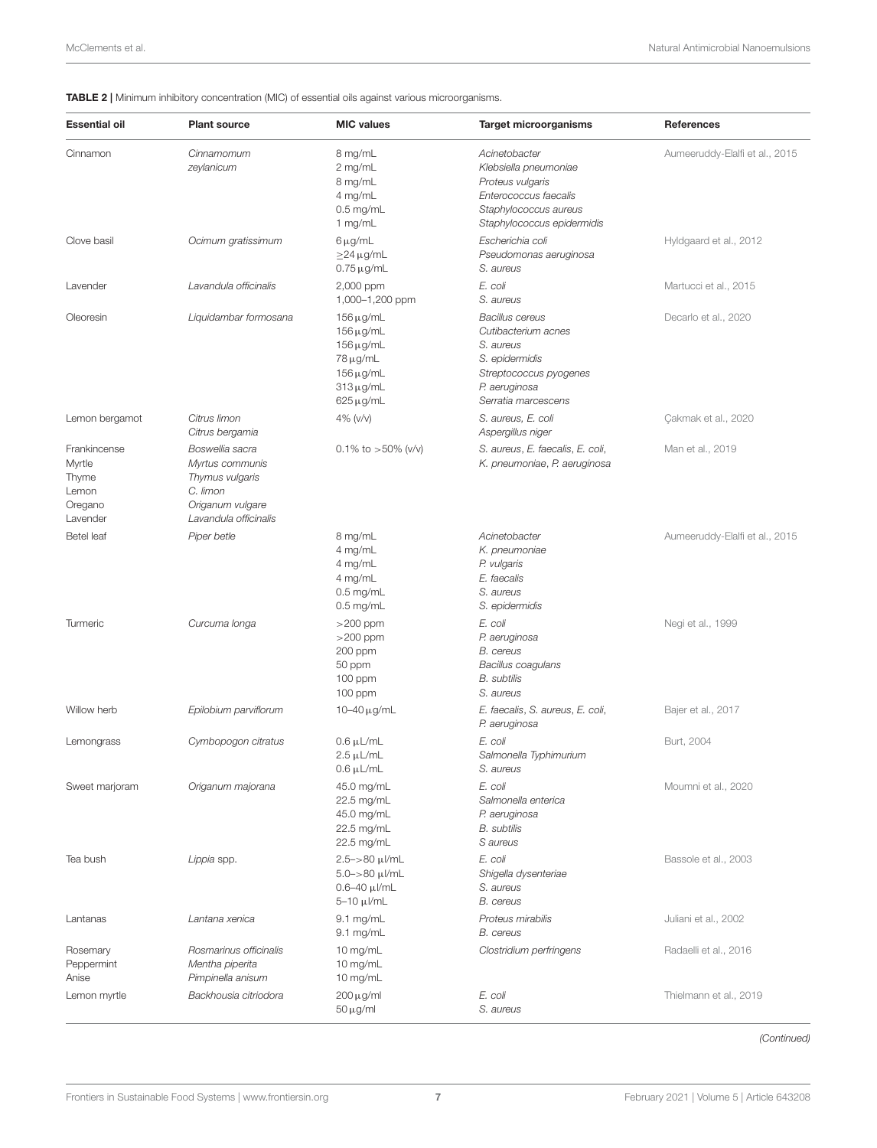#### TABLE 2 | Minimum inhibitory concentration (MIC) of essential oils against various microorganisms.

| <b>Essential oil</b>                                            | <b>Plant source</b>                                                                                            | <b>MIC values</b>                                                                                                    | <b>Target microorganisms</b>                                                                                                                   | References                     |
|-----------------------------------------------------------------|----------------------------------------------------------------------------------------------------------------|----------------------------------------------------------------------------------------------------------------------|------------------------------------------------------------------------------------------------------------------------------------------------|--------------------------------|
| Cinnamon                                                        | Cinnamomum<br>zeylanicum                                                                                       | 8 mg/mL<br>2 mg/mL<br>8 mg/mL<br>4 mg/mL<br>$0.5$ mg/mL<br>1 mg/mL                                                   | Acinetobacter<br>Klebsiella pneumoniae<br>Proteus vulgaris<br>Enterococcus faecalis<br>Staphylococcus aureus<br>Staphylococcus epidermidis     | Aumeeruddy-Elalfi et al., 2015 |
| Clove basil                                                     | Ocimum gratissimum                                                                                             | 6μg/mL<br>$\geq$ 24 µg/mL<br>$0.75 \,\mu$ g/mL                                                                       | Escherichia coli<br>Pseudomonas aeruginosa<br>S. aureus                                                                                        | Hyldgaard et al., 2012         |
| Lavender                                                        | Lavandula officinalis                                                                                          | 2,000 ppm<br>1,000-1,200 ppm                                                                                         | E. coli<br>S. aureus                                                                                                                           | Martucci et al., 2015          |
| Oleoresin                                                       | Liquidambar formosana                                                                                          | $156 \mu g/mL$<br>$156 \mu g/mL$<br>$156 \mu g/mL$<br>$78 \mu g/mL$<br>$156 \mu g/mL$<br>$313 \mu g/mL$<br>625 μg/mL | <b>Bacillus cereus</b><br>Cutibacterium acnes<br>S. aureus<br>S. epidermidis<br>Streptococcus pyogenes<br>P. aeruginosa<br>Serratia marcescens | Decarlo et al., 2020           |
| Lemon bergamot                                                  | Citrus limon<br>Citrus bergamia                                                                                | 4% (v/v)                                                                                                             | S. aureus, E. coli<br>Aspergillus niger                                                                                                        | Cakmak et al., 2020            |
| Frankincense<br>Myrtle<br>Thyme<br>Lemon<br>Oregano<br>Lavender | Boswellia sacra<br>Myrtus communis<br>Thymus vulgaris<br>C. limon<br>Origanum vulgare<br>Lavandula officinalis | 0.1% to $>50\%$ (v/v)                                                                                                | S. aureus, E. faecalis, E. coli,<br>K. pneumoniae, P. aeruginosa                                                                               | Man et al., 2019               |
| <b>Betel</b> leaf                                               | Piper betle                                                                                                    | 8 mg/mL<br>4 mg/mL<br>4 mg/mL<br>4 mg/mL<br>$0.5$ mg/mL<br>$0.5$ mg/mL                                               | Acinetobacter<br>K. pneumoniae<br>P. vulgaris<br>E. faecalis<br>S. aureus<br>S. epidermidis                                                    | Aumeeruddy-Elalfi et al., 2015 |
| Turmeric                                                        | Curcuma longa                                                                                                  | $>200$ ppm<br>$>200$ ppm<br>200 ppm<br>50 ppm<br>100 ppm<br>100 ppm                                                  | E. coli<br>P. aeruginosa<br><b>B.</b> cereus<br>Bacillus coagulans<br><b>B.</b> subtilis<br>S. aureus                                          | Negi et al., 1999              |
| Willow herb                                                     | Epilobium parviflorum                                                                                          | 10–40 $\mu$ g/mL                                                                                                     | E. faecalis, S. aureus, E. coli,<br>P. aeruginosa                                                                                              | Bajer et al., 2017             |
| Lemongrass                                                      | Cymbopogon citratus                                                                                            | $0.6 \mu L/mL$<br>$2.5 \mu L/mL$<br>$0.6 \mu L/mL$                                                                   | E. coli<br>Salmonella Typhimurium<br>S. aureus                                                                                                 | Burt, 2004                     |
| Sweet marjoram                                                  | Origanum majorana                                                                                              | 45.0 mg/mL<br>22.5 mg/mL<br>45.0 mg/mL<br>22.5 mg/mL<br>22.5 mg/mL                                                   | E. coli<br>Salmonella enterica<br>P. aeruginosa<br><b>B.</b> subtilis<br>S aureus                                                              | Moumni et al., 2020            |
| Tea bush                                                        | Lippia spp.                                                                                                    | $2.5 - > 80 \mu$ /mL<br>$5.0 - > 80 \mu$ /mL<br>$0.6 - 40 \mu$ l/mL<br>5-10 μl/mL                                    | E. coli<br>Shigella dysenteriae<br>S. aureus<br><b>B.</b> cereus                                                                               | Bassole et al., 2003           |
| Lantanas                                                        | Lantana xenica                                                                                                 | $9.1$ mg/mL<br>9.1 mg/mL                                                                                             | Proteus mirabilis<br><b>B.</b> cereus                                                                                                          | Juliani et al., 2002           |
| Rosemary<br>Peppermint<br>Anise                                 | Rosmarinus officinalis<br>Mentha piperita<br>Pimpinella anisum                                                 | 10 mg/mL<br>10 mg/mL<br>10 mg/mL                                                                                     | Clostridium perfringens                                                                                                                        | Radaelli et al., 2016          |
| Lemon myrtle                                                    | Backhousia citriodora                                                                                          | $200 \mu g/ml$<br>$50 \,\mu\text{g/ml}$                                                                              | E. coli<br>S. aureus                                                                                                                           | Thielmann et al., 2019         |

*(Continued)*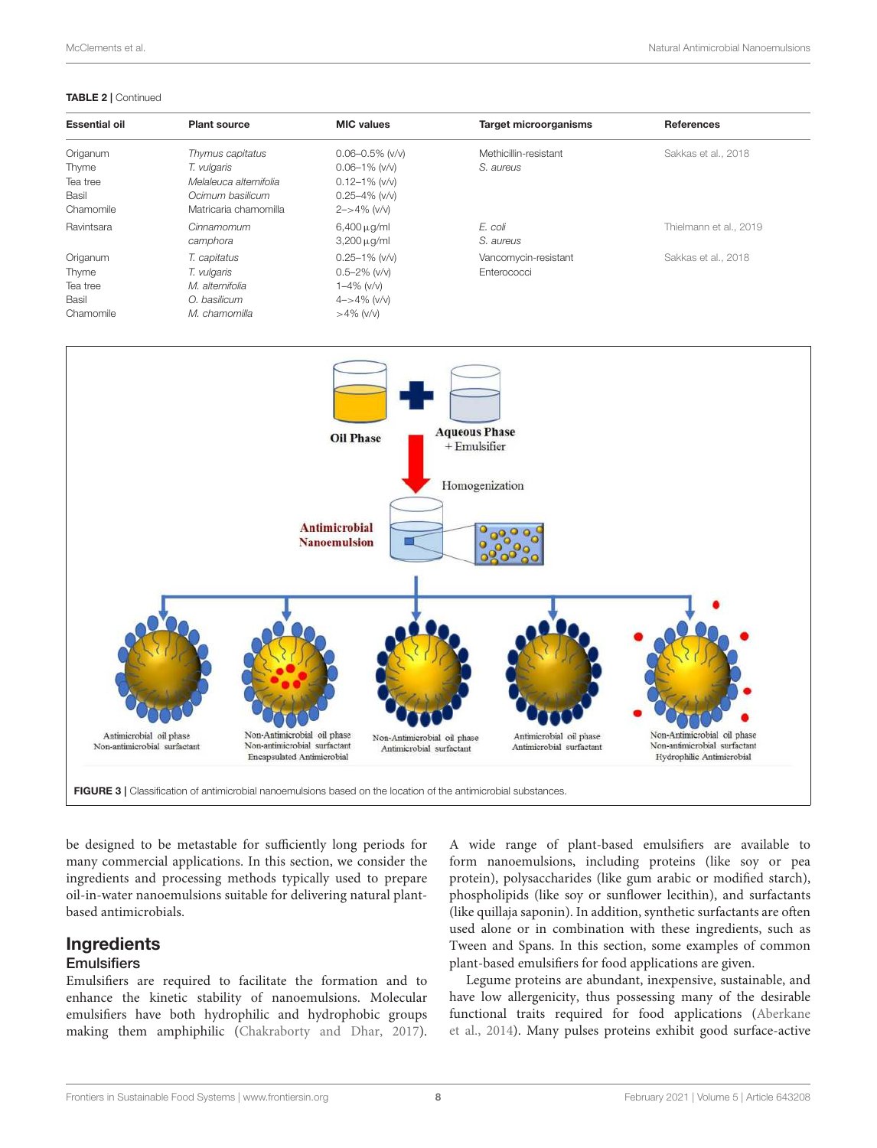#### TABLE 2 | Continued

| <b>Essential oil</b> | <b>Plant source</b>    | <b>MIC values</b>     | <b>Target microorganisms</b> | <b>References</b>      |
|----------------------|------------------------|-----------------------|------------------------------|------------------------|
| Origanum             | Thymus capitatus       | $0.06 - 0.5\%$ (v/v)  | Methicillin-resistant        | Sakkas et al., 2018    |
| Thyme                | T. vulgaris            | $0.06 - 1\%$ (v/v)    | S. aureus                    |                        |
| Tea tree             | Melaleuca alternifolia | $0.12 - 1\%$ (v/v)    |                              |                        |
| Basil                | Ocimum basilicum       | $0.25 - 4\%$ (v/v)    |                              |                        |
| Chamomile            | Matricaria chamomilla  | $2 - > 4\%$ (v/v)     |                              |                        |
| Ravintsara           | Cinnamomum             | $6,400 \,\mu$ g/ml    | E. coli                      | Thielmann et al., 2019 |
|                      | camphora               | $3,200 \,\mu$ g/ml    | S. aureus                    |                        |
| Origanum             | T. capitatus           | $0.25 - 1\%$ (v/v)    | Vancomycin-resistant         | Sakkas et al., 2018    |
| Thyme                | T. vulgaris            | $0.5 - 2\%$ (v/v)     | Enterococci                  |                        |
| Tea tree             | M. alternifolia        | 1-4% (v/v)            |                              |                        |
| Basil                | O. basilicum           | $4 - > 4\%$ ( $v/v$ ) |                              |                        |
| Chamomile            | M. chamomilla          | $>4\%$ (v/v)          |                              |                        |



be designed to be metastable for sufficiently long periods for many commercial applications. In this section, we consider the ingredients and processing methods typically used to prepare oil-in-water nanoemulsions suitable for delivering natural plantbased antimicrobials.

## Ingredients

## **Emulsifiers**

Emulsifiers are required to facilitate the formation and to enhance the kinetic stability of nanoemulsions. Molecular emulsifiers have both hydrophilic and hydrophobic groups making them amphiphilic (Chakraborty and Dhar, 2017). A wide range of plant-based emulsifiers are available to form nanoemulsions, including proteins (like soy or pea protein), polysaccharides (like gum arabic or modified starch), phospholipids (like soy or sunflower lecithin), and surfactants (like quillaja saponin). In addition, synthetic surfactants are often used alone or in combination with these ingredients, such as Tween and Spans. In this section, some examples of common plant-based emulsifiers for food applications are given.

Legume proteins are abundant, inexpensive, sustainable, and have low allergenicity, thus possessing many of the desirable functional traits required for food applications (Aberkane et al., 2014). Many pulses proteins exhibit good surface-active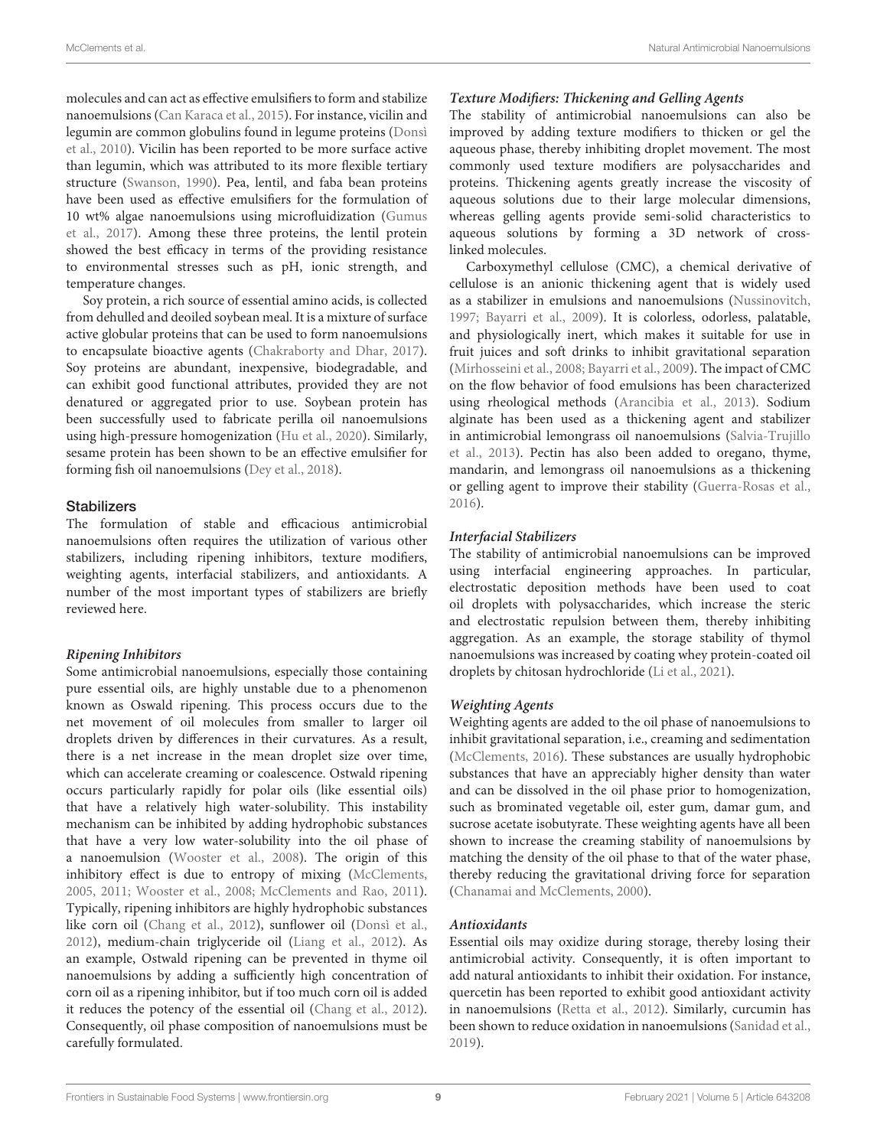molecules and can act as effective emulsifiers to form and stabilize nanoemulsions (Can Karaca et al., 2015). For instance, vicilin and legumin are common globulins found in legume proteins (Donsì et al., 2010). Vicilin has been reported to be more surface active than legumin, which was attributed to its more flexible tertiary structure (Swanson, 1990). Pea, lentil, and faba bean proteins have been used as effective emulsifiers for the formulation of 10 wt% algae nanoemulsions using microfluidization (Gumus et al., 2017). Among these three proteins, the lentil protein showed the best efficacy in terms of the providing resistance to environmental stresses such as pH, ionic strength, and temperature changes.

Soy protein, a rich source of essential amino acids, is collected from dehulled and deoiled soybean meal. It is a mixture of surface active globular proteins that can be used to form nanoemulsions to encapsulate bioactive agents (Chakraborty and Dhar, 2017). Soy proteins are abundant, inexpensive, biodegradable, and can exhibit good functional attributes, provided they are not denatured or aggregated prior to use. Soybean protein has been successfully used to fabricate perilla oil nanoemulsions using high-pressure homogenization (Hu et al., 2020). Similarly, sesame protein has been shown to be an effective emulsifier for forming fish oil nanoemulsions (Dey et al., 2018).

#### **Stabilizers**

The formulation of stable and efficacious antimicrobial nanoemulsions often requires the utilization of various other stabilizers, including ripening inhibitors, texture modifiers, weighting agents, interfacial stabilizers, and antioxidants. A number of the most important types of stabilizers are briefly reviewed here.

#### **Ripening Inhibitors**

Some antimicrobial nanoemulsions, especially those containing pure essential oils, are highly unstable due to a phenomenon known as Oswald ripening. This process occurs due to the net movement of oil molecules from smaller to larger oil droplets driven by differences in their curvatures. As a result, there is a net increase in the mean droplet size over time, which can accelerate creaming or coalescence. Ostwald ripening occurs particularly rapidly for polar oils (like essential oils) that have a relatively high water-solubility. This instability mechanism can be inhibited by adding hydrophobic substances that have a very low water-solubility into the oil phase of a nanoemulsion (Wooster et al., 2008). The origin of this inhibitory effect is due to entropy of mixing (McClements, 2005, 2011; Wooster et al., 2008; McClements and Rao, 2011). Typically, ripening inhibitors are highly hydrophobic substances like corn oil (Chang et al., 2012), sunflower oil (Donsì et al., 2012), medium-chain triglyceride oil (Liang et al., 2012). As an example, Ostwald ripening can be prevented in thyme oil nanoemulsions by adding a sufficiently high concentration of corn oil as a ripening inhibitor, but if too much corn oil is added it reduces the potency of the essential oil (Chang et al., 2012). Consequently, oil phase composition of nanoemulsions must be carefully formulated.

## **Texture Modifiers: Thickening and Gelling Agents**

The stability of antimicrobial nanoemulsions can also be improved by adding texture modifiers to thicken or gel the aqueous phase, thereby inhibiting droplet movement. The most commonly used texture modifiers are polysaccharides and proteins. Thickening agents greatly increase the viscosity of aqueous solutions due to their large molecular dimensions, whereas gelling agents provide semi-solid characteristics to aqueous solutions by forming a 3D network of crosslinked molecules.

Carboxymethyl cellulose (CMC), a chemical derivative of cellulose is an anionic thickening agent that is widely used as a stabilizer in emulsions and nanoemulsions (Nussinovitch, 1997; Bayarri et al., 2009). It is colorless, odorless, palatable, and physiologically inert, which makes it suitable for use in fruit juices and soft drinks to inhibit gravitational separation (Mirhosseini et al., 2008; Bayarri et al., 2009). The impact of CMC on the flow behavior of food emulsions has been characterized using rheological methods (Arancibia et al., 2013). Sodium alginate has been used as a thickening agent and stabilizer in antimicrobial lemongrass oil nanoemulsions (Salvia-Trujillo et al., 2013). Pectin has also been added to oregano, thyme, mandarin, and lemongrass oil nanoemulsions as a thickening or gelling agent to improve their stability (Guerra-Rosas et al., 2016).

#### **Interfacial Stabilizers**

The stability of antimicrobial nanoemulsions can be improved using interfacial engineering approaches. In particular, electrostatic deposition methods have been used to coat oil droplets with polysaccharides, which increase the steric and electrostatic repulsion between them, thereby inhibiting aggregation. As an example, the storage stability of thymol nanoemulsions was increased by coating whey protein-coated oil droplets by chitosan hydrochloride (Li et al., 2021).

#### **Weighting Agents**

Weighting agents are added to the oil phase of nanoemulsions to inhibit gravitational separation, i.e., creaming and sedimentation (McClements, 2016). These substances are usually hydrophobic substances that have an appreciably higher density than water and can be dissolved in the oil phase prior to homogenization, such as brominated vegetable oil, ester gum, damar gum, and sucrose acetate isobutyrate. These weighting agents have all been shown to increase the creaming stability of nanoemulsions by matching the density of the oil phase to that of the water phase, thereby reducing the gravitational driving force for separation (Chanamai and McClements, 2000).

#### **Antioxidants**

Essential oils may oxidize during storage, thereby losing their antimicrobial activity. Consequently, it is often important to add natural antioxidants to inhibit their oxidation. For instance, quercetin has been reported to exhibit good antioxidant activity in nanoemulsions (Retta et al., 2012). Similarly, curcumin has been shown to reduce oxidation in nanoemulsions (Sanidad et al., 2019).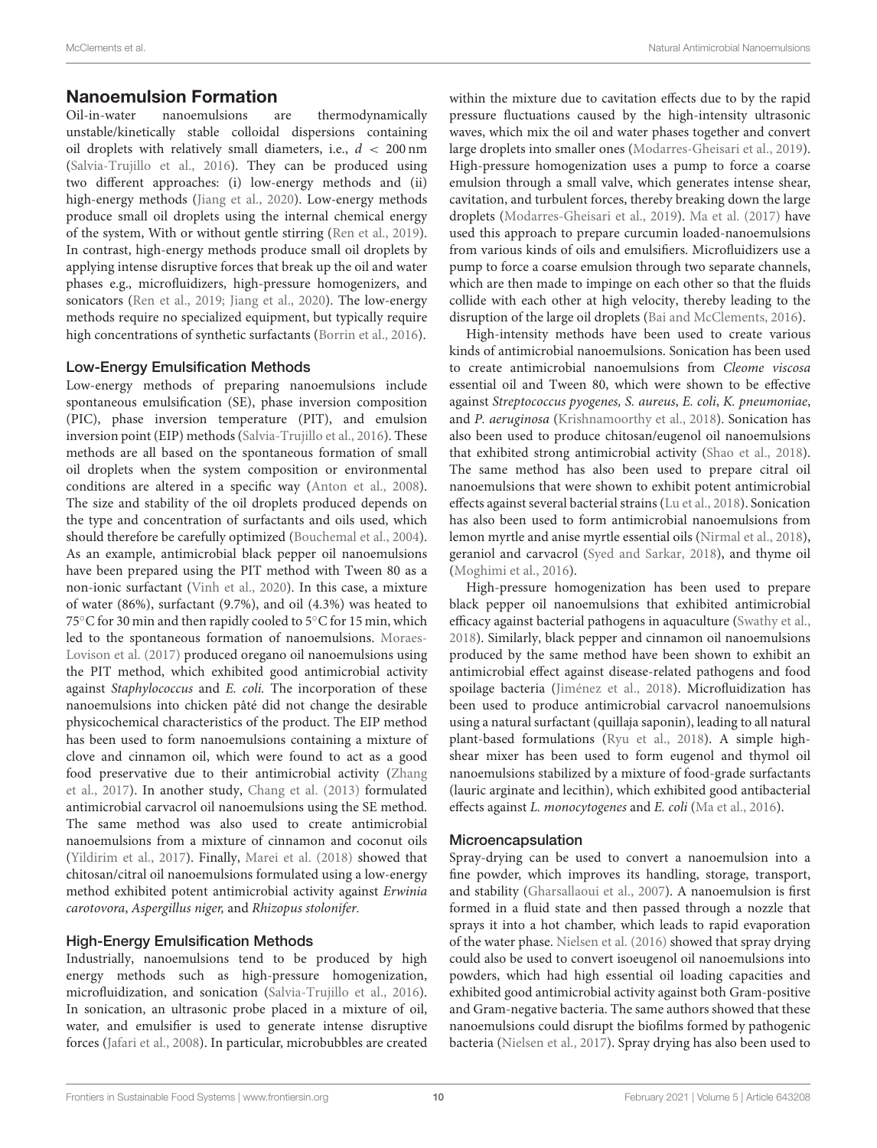# **Nanoemulsion Formation**<br>Oil-in-water nanoemulsions a

are thermodynamically unstable/kinetically stable colloidal dispersions containing oil droplets with relatively small diameters, i.e.,  $d < 200$  nm (Salvia-Trujillo et al., 2016). They can be produced using two different approaches: (i) low-energy methods and (ii) high-energy methods (Jiang et al., 2020). Low-energy methods produce small oil droplets using the internal chemical energy of the system, With or without gentle stirring (Ren et al., 2019). In contrast, high-energy methods produce small oil droplets by applying intense disruptive forces that break up the oil and water phases e.g., microfluidizers, high-pressure homogenizers, and sonicators (Ren et al., 2019; Jiang et al., 2020). The low-energy methods require no specialized equipment, but typically require high concentrations of synthetic surfactants (Borrin et al., 2016).

#### Low-Energy Emulsification Methods

Low-energy methods of preparing nanoemulsions include spontaneous emulsification (SE), phase inversion composition (PIC), phase inversion temperature (PIT), and emulsion inversion point (EIP) methods (Salvia-Trujillo et al., 2016). These methods are all based on the spontaneous formation of small oil droplets when the system composition or environmental conditions are altered in a specific way (Anton et al., 2008). The size and stability of the oil droplets produced depends on the type and concentration of surfactants and oils used, which should therefore be carefully optimized (Bouchemal et al., 2004). As an example, antimicrobial black pepper oil nanoemulsions have been prepared using the PIT method with Tween 80 as a non-ionic surfactant (Vinh et al., 2020). In this case, a mixture of water (86%), surfactant (9.7%), and oil (4.3%) was heated to 75℃ for 30 min and then rapidly cooled to 5℃ for 15 min, which led to the spontaneous formation of nanoemulsions. Moraes-Lovison et al. (2017) produced oregano oil nanoemulsions using the PIT method, which exhibited good antimicrobial activity against Staphylococcus and E. coli. The incorporation of these nanoemulsions into chicken pâté did not change the desirable physicochemical characteristics of the product. The EIP method has been used to form nanoemulsions containing a mixture of clove and cinnamon oil, which were found to act as a good food preservative due to their antimicrobial activity (Zhang et al., 2017). In another study, Chang et al. (2013) formulated antimicrobial carvacrol oil nanoemulsions using the SE method. The same method was also used to create antimicrobial nanoemulsions from a mixture of cinnamon and coconut oils (Yildirim et al., 2017). Finally, Marei et al. (2018) showed that chitosan/citral oil nanoemulsions formulated using a low-energy method exhibited potent antimicrobial activity against Erwinia carotovora, Aspergillus niger, and Rhizopus stolonifer.

## High-Energy Emulsification Methods

Industrially, nanoemulsions tend to be produced by high energy methods such as high-pressure homogenization, microfluidization, and sonication (Salvia-Trujillo et al., 2016). In sonication, an ultrasonic probe placed in a mixture of oil, water, and emulsifier is used to generate intense disruptive forces (Jafari et al., 2008). In particular, microbubbles are created within the mixture due to cavitation effects due to by the rapid pressure fluctuations caused by the high-intensity ultrasonic waves, which mix the oil and water phases together and convert large droplets into smaller ones (Modarres-Gheisari et al., 2019). High-pressure homogenization uses a pump to force a coarse emulsion through a small valve, which generates intense shear, cavitation, and turbulent forces, thereby breaking down the large droplets (Modarres-Gheisari et al., 2019). Ma et al. (2017) have used this approach to prepare curcumin loaded-nanoemulsions from various kinds of oils and emulsifiers. Microfluidizers use a pump to force a coarse emulsion through two separate channels, which are then made to impinge on each other so that the fluids collide with each other at high velocity, thereby leading to the disruption of the large oil droplets (Bai and McClements, 2016).

High-intensity methods have been used to create various kinds of antimicrobial nanoemulsions. Sonication has been used to create antimicrobial nanoemulsions from Cleome viscosa essential oil and Tween 80, which were shown to be effective against Streptococcus pyogenes, S. aureus, E. coli, K. pneumoniae, and P. aeruginosa (Krishnamoorthy et al., 2018). Sonication has also been used to produce chitosan/eugenol oil nanoemulsions that exhibited strong antimicrobial activity (Shao et al., 2018). The same method has also been used to prepare citral oil nanoemulsions that were shown to exhibit potent antimicrobial effects against several bacterial strains (Lu et al., 2018). Sonication has also been used to form antimicrobial nanoemulsions from lemon myrtle and anise myrtle essential oils (Nirmal et al., 2018), geraniol and carvacrol (Syed and Sarkar, 2018), and thyme oil (Moghimi et al., 2016).

High-pressure homogenization has been used to prepare black pepper oil nanoemulsions that exhibited antimicrobial efficacy against bacterial pathogens in aquaculture (Swathy et al., 2018). Similarly, black pepper and cinnamon oil nanoemulsions produced by the same method have been shown to exhibit an antimicrobial effect against disease-related pathogens and food spoilage bacteria (Jiménez et al., 2018). Microfluidization has been used to produce antimicrobial carvacrol nanoemulsions using a natural surfactant (quillaja saponin), leading to all natural plant-based formulations (Ryu et al., 2018). A simple highshear mixer has been used to form eugenol and thymol oil nanoemulsions stabilized by a mixture of food-grade surfactants (lauric arginate and lecithin), which exhibited good antibacterial effects against L. monocytogenes and E. coli (Ma et al., 2016).

#### Microencapsulation

Spray-drying can be used to convert a nanoemulsion into a fine powder, which improves its handling, storage, transport, and stability (Gharsallaoui et al., 2007). A nanoemulsion is first formed in a fluid state and then passed through a nozzle that sprays it into a hot chamber, which leads to rapid evaporation of the water phase. Nielsen et al. (2016) showed that spray drying could also be used to convert isoeugenol oil nanoemulsions into powders, which had high essential oil loading capacities and exhibited good antimicrobial activity against both Gram-positive and Gram-negative bacteria. The same authors showed that these nanoemulsions could disrupt the biofilms formed by pathogenic bacteria (Nielsen et al., 2017). Spray drying has also been used to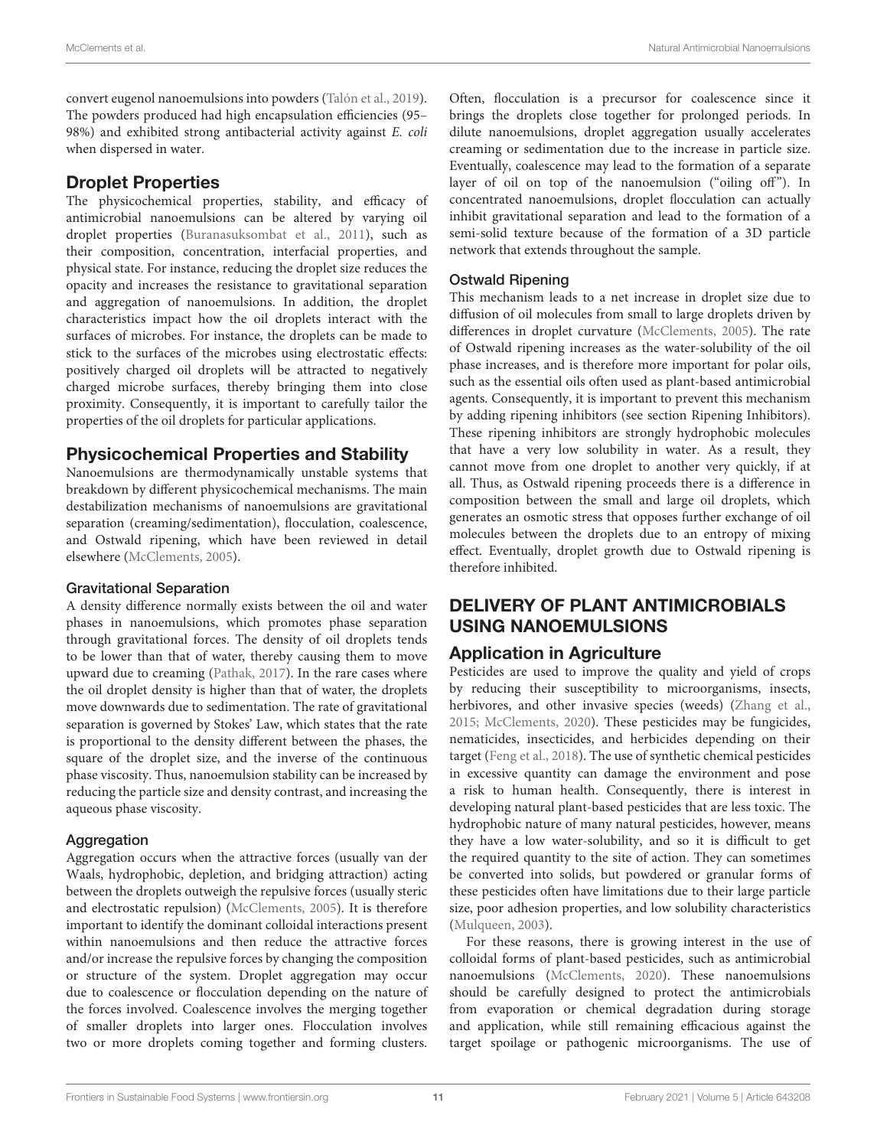convert eugenol nanoemulsions into powders (Talón et al., 2019). The powders produced had high encapsulation efficiencies (95– 98%) and exhibited strong antibacterial activity against E. coli when dispersed in water.

# Droplet Properties

The physicochemical properties, stability, and efficacy of antimicrobial nanoemulsions can be altered by varying oil droplet properties (Buranasuksombat et al., 2011), such as their composition, concentration, interfacial properties, and physical state. For instance, reducing the droplet size reduces the opacity and increases the resistance to gravitational separation and aggregation of nanoemulsions. In addition, the droplet characteristics impact how the oil droplets interact with the surfaces of microbes. For instance, the droplets can be made to stick to the surfaces of the microbes using electrostatic effects: positively charged oil droplets will be attracted to negatively charged microbe surfaces, thereby bringing them into close proximity. Consequently, it is important to carefully tailor the properties of the oil droplets for particular applications.

## Physicochemical Properties and Stability

Nanoemulsions are thermodynamically unstable systems that breakdown by different physicochemical mechanisms. The main destabilization mechanisms of nanoemulsions are gravitational separation (creaming/sedimentation), flocculation, coalescence, and Ostwald ripening, which have been reviewed in detail elsewhere (McClements, 2005).

#### Gravitational Separation

A density difference normally exists between the oil and water phases in nanoemulsions, which promotes phase separation through gravitational forces. The density of oil droplets tends to be lower than that of water, thereby causing them to move upward due to creaming (Pathak, 2017). In the rare cases where the oil droplet density is higher than that of water, the droplets move downwards due to sedimentation. The rate of gravitational separation is governed by Stokes' Law, which states that the rate is proportional to the density different between the phases, the square of the droplet size, and the inverse of the continuous phase viscosity. Thus, nanoemulsion stability can be increased by reducing the particle size and density contrast, and increasing the aqueous phase viscosity.

## Aggregation

Aggregation occurs when the attractive forces (usually van der Waals, hydrophobic, depletion, and bridging attraction) acting between the droplets outweigh the repulsive forces (usually steric and electrostatic repulsion) (McClements, 2005). It is therefore important to identify the dominant colloidal interactions present within nanoemulsions and then reduce the attractive forces and/or increase the repulsive forces by changing the composition or structure of the system. Droplet aggregation may occur due to coalescence or flocculation depending on the nature of the forces involved. Coalescence involves the merging together of smaller droplets into larger ones. Flocculation involves two or more droplets coming together and forming clusters. Often, flocculation is a precursor for coalescence since it brings the droplets close together for prolonged periods. In dilute nanoemulsions, droplet aggregation usually accelerates creaming or sedimentation due to the increase in particle size. Eventually, coalescence may lead to the formation of a separate layer of oil on top of the nanoemulsion ("oiling off"). In concentrated nanoemulsions, droplet flocculation can actually inhibit gravitational separation and lead to the formation of a semi-solid texture because of the formation of a 3D particle network that extends throughout the sample.

## Ostwald Ripening

This mechanism leads to a net increase in droplet size due to diffusion of oil molecules from small to large droplets driven by differences in droplet curvature (McClements, 2005). The rate of Ostwald ripening increases as the water-solubility of the oil phase increases, and is therefore more important for polar oils, such as the essential oils often used as plant-based antimicrobial agents. Consequently, it is important to prevent this mechanism by adding ripening inhibitors (see section Ripening Inhibitors). These ripening inhibitors are strongly hydrophobic molecules that have a very low solubility in water. As a result, they cannot move from one droplet to another very quickly, if at all. Thus, as Ostwald ripening proceeds there is a difference in composition between the small and large oil droplets, which generates an osmotic stress that opposes further exchange of oil molecules between the droplets due to an entropy of mixing effect. Eventually, droplet growth due to Ostwald ripening is therefore inhibited.

## DELIVERY OF PLANT ANTIMICROBIALS USING NANOEMULSIONS

# Application in Agriculture

Pesticides are used to improve the quality and yield of crops by reducing their susceptibility to microorganisms, insects, herbivores, and other invasive species (weeds) (Zhang et al., 2015; McClements, 2020). These pesticides may be fungicides, nematicides, insecticides, and herbicides depending on their target (Feng et al., 2018). The use of synthetic chemical pesticides in excessive quantity can damage the environment and pose a risk to human health. Consequently, there is interest in developing natural plant-based pesticides that are less toxic. The hydrophobic nature of many natural pesticides, however, means they have a low water-solubility, and so it is difficult to get the required quantity to the site of action. They can sometimes be converted into solids, but powdered or granular forms of these pesticides often have limitations due to their large particle size, poor adhesion properties, and low solubility characteristics (Mulqueen, 2003).

For these reasons, there is growing interest in the use of colloidal forms of plant-based pesticides, such as antimicrobial nanoemulsions (McClements, 2020). These nanoemulsions should be carefully designed to protect the antimicrobials from evaporation or chemical degradation during storage and application, while still remaining efficacious against the target spoilage or pathogenic microorganisms. The use of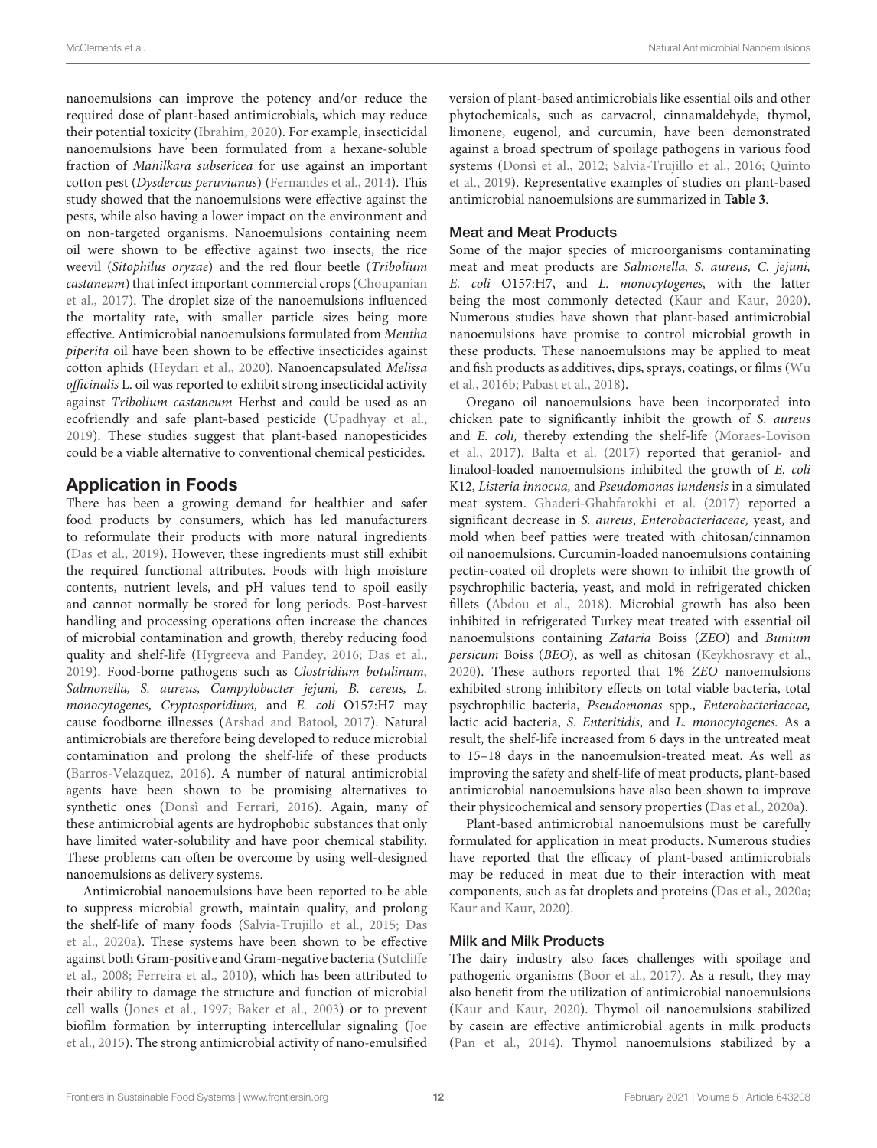nanoemulsions can improve the potency and/or reduce the required dose of plant-based antimicrobials, which may reduce their potential toxicity (Ibrahim, 2020). For example, insecticidal nanoemulsions have been formulated from a hexane-soluble fraction of Manilkara subsericea for use against an important cotton pest (Dysdercus peruvianus) (Fernandes et al., 2014). This study showed that the nanoemulsions were effective against the pests, while also having a lower impact on the environment and on non-targeted organisms. Nanoemulsions containing neem oil were shown to be effective against two insects, the rice weevil (Sitophilus oryzae) and the red flour beetle (Tribolium castaneum) that infect important commercial crops (Choupanian et al., 2017). The droplet size of the nanoemulsions influenced the mortality rate, with smaller particle sizes being more effective. Antimicrobial nanoemulsions formulated from Mentha piperita oil have been shown to be effective insecticides against cotton aphids (Heydari et al., 2020). Nanoencapsulated Melissa officinalis L. oil was reported to exhibit strong insecticidal activity against Tribolium castaneum Herbst and could be used as an ecofriendly and safe plant-based pesticide (Upadhyay et al., 2019). These studies suggest that plant-based nanopesticides could be a viable alternative to conventional chemical pesticides.

## Application in Foods

There has been a growing demand for healthier and safer food products by consumers, which has led manufacturers to reformulate their products with more natural ingredients (Das et al., 2019). However, these ingredients must still exhibit the required functional attributes. Foods with high moisture contents, nutrient levels, and pH values tend to spoil easily and cannot normally be stored for long periods. Post-harvest handling and processing operations often increase the chances of microbial contamination and growth, thereby reducing food quality and shelf-life (Hygreeva and Pandey, 2016; Das et al., 2019). Food-borne pathogens such as Clostridium botulinum, Salmonella, S. aureus, Campylobacter jejuni, B. cereus, L. monocytogenes, Cryptosporidium, and E. coli O157:H7 may cause foodborne illnesses (Arshad and Batool, 2017). Natural antimicrobials are therefore being developed to reduce microbial contamination and prolong the shelf-life of these products (Barros-Velazquez, 2016). A number of natural antimicrobial agents have been shown to be promising alternatives to synthetic ones (Donsì and Ferrari, 2016). Again, many of these antimicrobial agents are hydrophobic substances that only have limited water-solubility and have poor chemical stability. These problems can often be overcome by using well-designed nanoemulsions as delivery systems.

Antimicrobial nanoemulsions have been reported to be able to suppress microbial growth, maintain quality, and prolong the shelf-life of many foods (Salvia-Trujillo et al., 2015; Das et al., 2020a). These systems have been shown to be effective against both Gram-positive and Gram-negative bacteria (Sutcliffe et al., 2008; Ferreira et al., 2010), which has been attributed to their ability to damage the structure and function of microbial cell walls (Jones et al., 1997; Baker et al., 2003) or to prevent biofilm formation by interrupting intercellular signaling (Joe et al., 2015). The strong antimicrobial activity of nano-emulsified version of plant-based antimicrobials like essential oils and other phytochemicals, such as carvacrol, cinnamaldehyde, thymol, limonene, eugenol, and curcumin, have been demonstrated against a broad spectrum of spoilage pathogens in various food systems (Donsì et al., 2012; Salvia-Trujillo et al., 2016; Quinto et al., 2019). Representative examples of studies on plant-based antimicrobial nanoemulsions are summarized in **Table 3**.

## Meat and Meat Products

Some of the major species of microorganisms contaminating meat and meat products are Salmonella, S. aureus, C. jejuni, E. coli O157:H7, and L. monocytogenes, with the latter being the most commonly detected (Kaur and Kaur, 2020). Numerous studies have shown that plant-based antimicrobial nanoemulsions have promise to control microbial growth in these products. These nanoemulsions may be applied to meat and fish products as additives, dips, sprays, coatings, or films (Wu et al., 2016b; Pabast et al., 2018).

Oregano oil nanoemulsions have been incorporated into chicken pate to significantly inhibit the growth of S. aureus and E. coli, thereby extending the shelf-life (Moraes-Lovison et al., 2017). Balta et al. (2017) reported that geraniol- and linalool-loaded nanoemulsions inhibited the growth of E. coli K12, Listeria innocua, and Pseudomonas lundensis in a simulated meat system. Ghaderi-Ghahfarokhi et al. (2017) reported a significant decrease in S. aureus, Enterobacteriaceae, yeast, and mold when beef patties were treated with chitosan/cinnamon oil nanoemulsions. Curcumin-loaded nanoemulsions containing pectin-coated oil droplets were shown to inhibit the growth of psychrophilic bacteria, yeast, and mold in refrigerated chicken fillets (Abdou et al., 2018). Microbial growth has also been inhibited in refrigerated Turkey meat treated with essential oil nanoemulsions containing Zataria Boiss (ZEO) and Bunium persicum Boiss (BEO), as well as chitosan (Keykhosravy et al., 2020). These authors reported that 1% ZEO nanoemulsions exhibited strong inhibitory effects on total viable bacteria, total psychrophilic bacteria, Pseudomonas spp., Enterobacteriaceae, lactic acid bacteria, S. Enteritidis, and L. monocytogenes. As a result, the shelf-life increased from 6 days in the untreated meat to 15–18 days in the nanoemulsion-treated meat. As well as improving the safety and shelf-life of meat products, plant-based antimicrobial nanoemulsions have also been shown to improve their physicochemical and sensory properties (Das et al., 2020a).

Plant-based antimicrobial nanoemulsions must be carefully formulated for application in meat products. Numerous studies have reported that the efficacy of plant-based antimicrobials may be reduced in meat due to their interaction with meat components, such as fat droplets and proteins (Das et al., 2020a; Kaur and Kaur, 2020).

#### Milk and Milk Products

The dairy industry also faces challenges with spoilage and pathogenic organisms (Boor et al., 2017). As a result, they may also benefit from the utilization of antimicrobial nanoemulsions (Kaur and Kaur, 2020). Thymol oil nanoemulsions stabilized by casein are effective antimicrobial agents in milk products (Pan et al., 2014). Thymol nanoemulsions stabilized by a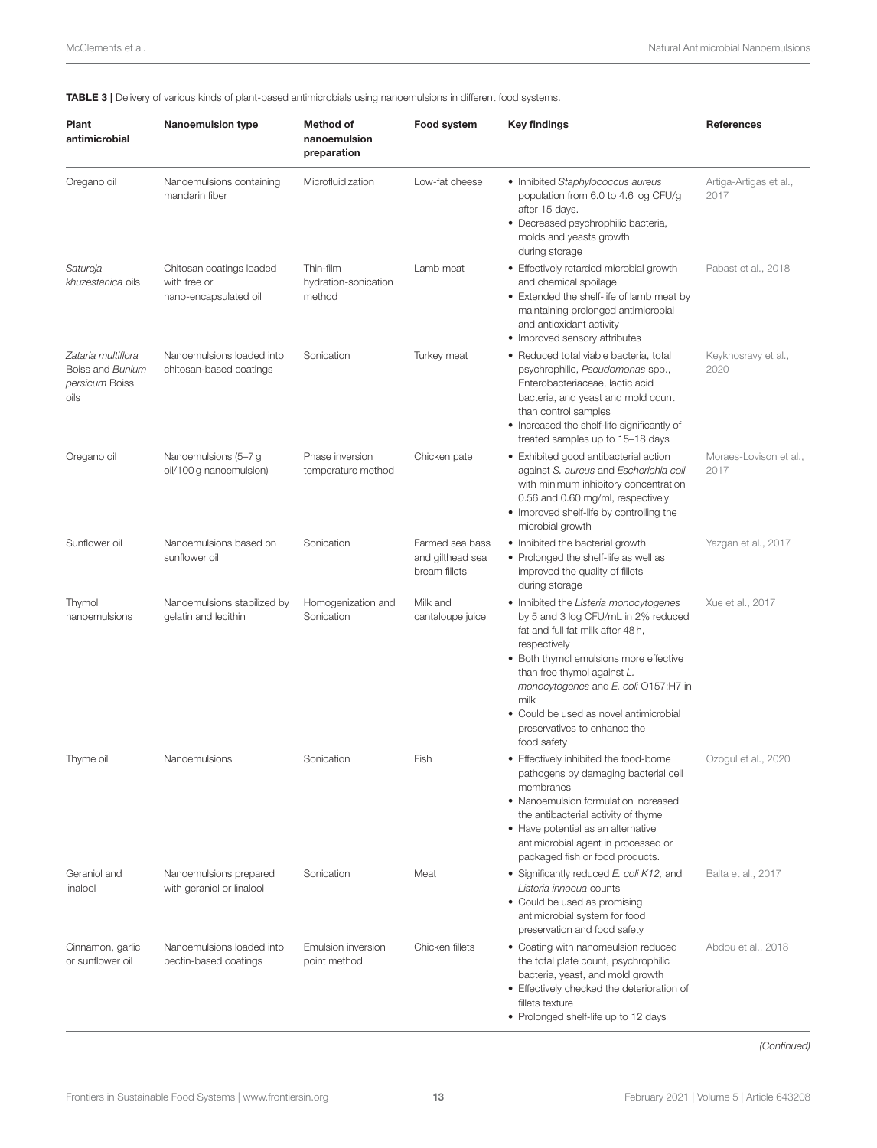TABLE 3 | Delivery of various kinds of plant-based antimicrobials using nanoemulsions in different food systems.

| Plant<br>antimicrobial                                           | <b>Nanoemulsion type</b>                                          | Method of<br>nanoemulsion<br>preparation    | Food system                                          | <b>Key findings</b>                                                                                                                                                                                                                                                                                                                                 | References                     |
|------------------------------------------------------------------|-------------------------------------------------------------------|---------------------------------------------|------------------------------------------------------|-----------------------------------------------------------------------------------------------------------------------------------------------------------------------------------------------------------------------------------------------------------------------------------------------------------------------------------------------------|--------------------------------|
| Oregano oil                                                      | Nanoemulsions containing<br>mandarin fiber                        | Microfluidization                           | Low-fat cheese                                       | • Inhibited Staphylococcus aureus<br>population from 6.0 to 4.6 log CFU/g<br>after 15 days.<br>· Decreased psychrophilic bacteria,<br>molds and yeasts growth<br>during storage                                                                                                                                                                     | Artiga-Artigas et al.,<br>2017 |
| Satureja<br>khuzestanica oils                                    | Chitosan coatings loaded<br>with free or<br>nano-encapsulated oil | Thin-film<br>hydration-sonication<br>method | Lamb meat                                            | • Effectively retarded microbial growth<br>and chemical spoilage<br>• Extended the shelf-life of lamb meat by<br>maintaining prolonged antimicrobial<br>and antioxidant activity<br>• Improved sensory attributes                                                                                                                                   | Pabast et al., 2018            |
| Zataria multiflora<br>Boiss and Bunium<br>persicum Boiss<br>oils | Nanoemulsions loaded into<br>chitosan-based coatings              | Sonication                                  | Turkey meat                                          | • Reduced total viable bacteria, total<br>psychrophilic, Pseudomonas spp.,<br>Enterobacteriaceae, lactic acid<br>bacteria, and yeast and mold count<br>than control samples<br>• Increased the shelf-life significantly of<br>treated samples up to 15-18 days                                                                                      | Keykhosravy et al.,<br>2020    |
| Oregano oil                                                      | Nanoemulsions (5-7 g<br>oil/100 g nanoemulsion)                   | Phase inversion<br>temperature method       | Chicken pate                                         | · Exhibited good antibacterial action<br>against S. aureus and Escherichia coli<br>with minimum inhibitory concentration<br>0.56 and 0.60 mg/ml, respectively<br>• Improved shelf-life by controlling the<br>microbial growth                                                                                                                       | Moraes-Lovison et al.,<br>2017 |
| Sunflower oil                                                    | Nanoemulsions based on<br>sunflower oil                           | Sonication                                  | Farmed sea bass<br>and gilthead sea<br>bream fillets | • Inhibited the bacterial growth<br>• Prolonged the shelf-life as well as<br>improved the quality of fillets<br>during storage                                                                                                                                                                                                                      | Yazgan et al., 2017            |
| Thymol<br>nanoemulsions                                          | Nanoemulsions stabilized by<br>gelatin and lecithin               | Homogenization and<br>Sonication            | Milk and<br>cantaloupe juice                         | • Inhibited the Listeria monocytogenes<br>by 5 and 3 log CFU/mL in 2% reduced<br>fat and full fat milk after 48h,<br>respectively<br>• Both thymol emulsions more effective<br>than free thymol against L.<br>monocytogenes and E. coli O157:H7 in<br>milk<br>• Could be used as novel antimicrobial<br>preservatives to enhance the<br>food safety | Xue et al., 2017               |
| Thyme oil                                                        | Nanoemulsions                                                     | Sonication                                  | Fish                                                 | • Effectively inhibited the food-borne<br>pathogens by damaging bacterial cell<br>membranes<br>• Nanoemulsion formulation increased<br>the antibacterial activity of thyme<br>• Have potential as an alternative<br>antimicrobial agent in processed or<br>packaged fish or food products.                                                          | Ozogul et al., 2020            |
| Geraniol and<br>linalool                                         | Nanoemulsions prepared<br>with geraniol or linalool               | Sonication                                  | Meat                                                 | • Significantly reduced E. coli K12, and<br>Listeria innocua counts<br>• Could be used as promising<br>antimicrobial system for food<br>preservation and food safety                                                                                                                                                                                | Balta et al., 2017             |
| Cinnamon, garlic<br>or sunflower oil                             | Nanoemulsions loaded into<br>pectin-based coatings                | Emulsion inversion<br>point method          | Chicken fillets                                      | • Coating with nanomeulsion reduced<br>the total plate count, psychrophilic<br>bacteria, yeast, and mold growth<br>• Effectively checked the deterioration of<br>fillets texture<br>• Prolonged shelf-life up to 12 days                                                                                                                            | Abdou et al., 2018             |

*(Continued)*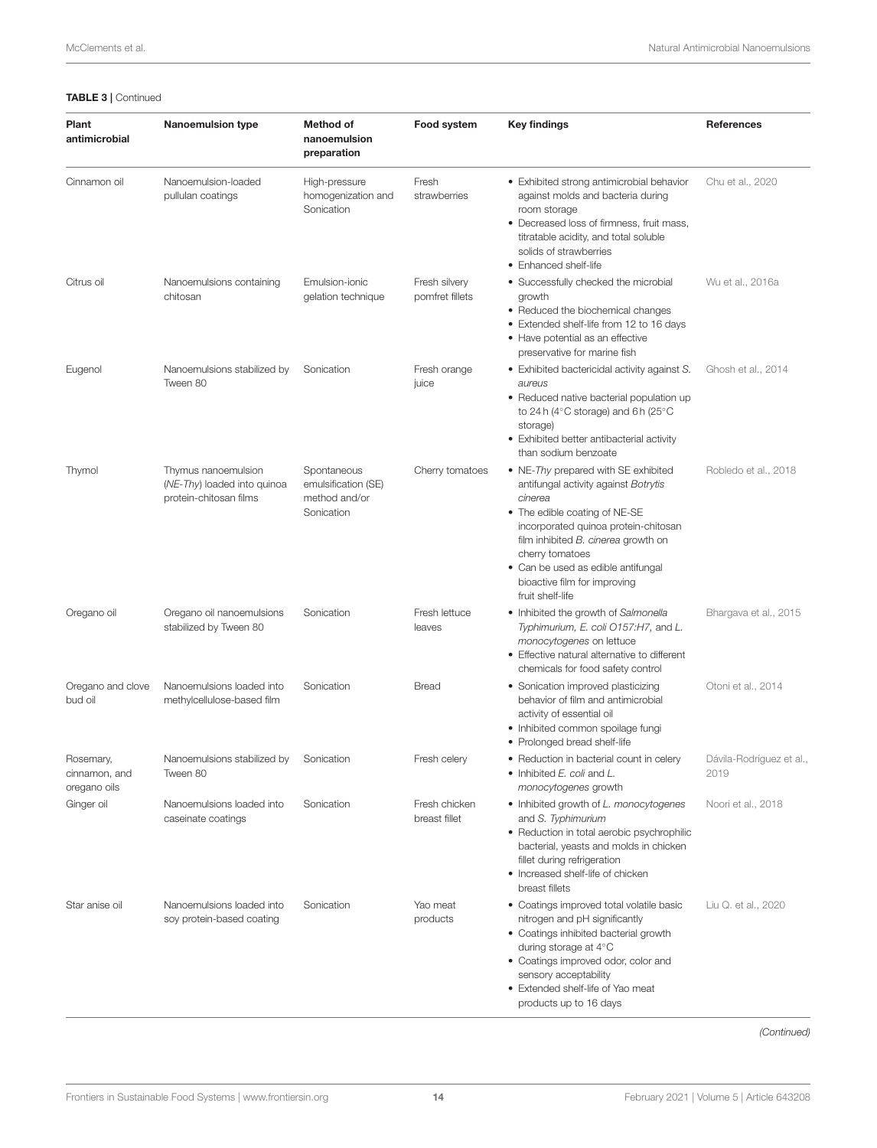#### TABLE 3 | Continued

| Plant<br>antimicrobial                     | <b>Nanoemulsion type</b>                                                     | Method of<br>nanoemulsion<br>preparation                          | Food system                      | <b>Key findings</b>                                                                                                                                                                                                                                                                                                 | <b>References</b>                |
|--------------------------------------------|------------------------------------------------------------------------------|-------------------------------------------------------------------|----------------------------------|---------------------------------------------------------------------------------------------------------------------------------------------------------------------------------------------------------------------------------------------------------------------------------------------------------------------|----------------------------------|
| Cinnamon oil                               | Nanoemulsion-loaded<br>pullulan coatings                                     | High-pressure<br>homogenization and<br>Sonication                 | Fresh<br>strawberries            | • Exhibited strong antimicrobial behavior<br>against molds and bacteria during<br>room storage<br>• Decreased loss of firmness, fruit mass,<br>titratable acidity, and total soluble<br>solids of strawberries<br>• Enhanced shelf-life                                                                             | Chu et al., 2020                 |
| Citrus oil                                 | Nanoemulsions containing<br>chitosan                                         | Emulsion-ionic<br>gelation technique                              | Fresh silvery<br>pomfret fillets | • Successfully checked the microbial<br>growth<br>• Reduced the biochemical changes<br>• Extended shelf-life from 12 to 16 days<br>• Have potential as an effective<br>preservative for marine fish                                                                                                                 | Wu et al., 2016a                 |
| Eugenol                                    | Nanoemulsions stabilized by<br>Tween 80                                      | Sonication                                                        | Fresh orange<br>juice            | • Exhibited bactericidal activity against S.<br>aureus<br>• Reduced native bacterial population up<br>to 24 h (4 $\degree$ C storage) and 6 h (25 $\degree$ C<br>storage)<br>• Exhibited better antibacterial activity<br>than sodium benzoate                                                                      | Ghosh et al., 2014               |
| Thymol                                     | Thymus nanoemulsion<br>(NE-Thy) loaded into quinoa<br>protein-chitosan films | Spontaneous<br>emulsification (SE)<br>method and/or<br>Sonication | Cherry tomatoes                  | • NE-Thy prepared with SE exhibited<br>antifungal activity against Botrytis<br>cinerea<br>• The edible coating of NE-SE<br>incorporated quinoa protein-chitosan<br>film inhibited B. cinerea growth on<br>cherry tomatoes<br>• Can be used as edible antifungal<br>bioactive film for improving<br>fruit shelf-life | Robledo et al., 2018             |
| Oregano oil                                | Oregano oil nanoemulsions<br>stabilized by Tween 80                          | Sonication                                                        | Fresh lettuce<br>leaves          | • Inhibited the growth of Salmonella<br>Typhimurium, E. coli O157:H7, and L.<br>monocytogenes on lettuce<br>• Effective natural alternative to different<br>chemicals for food safety control                                                                                                                       | Bhargava et al., 2015            |
| Oregano and clove<br>bud oil               | Nanoemulsions loaded into<br>methylcellulose-based film                      | Sonication                                                        | Bread                            | • Sonication improved plasticizing<br>behavior of film and antimicrobial<br>activity of essential oil<br>• Inhibited common spoilage fungi<br>• Prolonged bread shelf-life                                                                                                                                          | Otoni et al., 2014               |
| Rosemary,<br>cinnamon, and<br>oregano oils | Nanoemulsions stabilized by<br>Tween 80                                      | Sonication                                                        | Fresh celery                     | • Reduction in bacterial count in celery<br>• Inhibited E. coli and L.<br>monocytogenes growth                                                                                                                                                                                                                      | Dávila-Rodríguez et al.,<br>2019 |
| Ginger oil                                 | Nanoemulsions loaded into<br>caseinate coatings                              | Sonication                                                        | Fresh chicken<br>breast fillet   | • Inhibited growth of L. monocytogenes<br>and S. Typhimurium<br>• Reduction in total aerobic psychrophilic<br>bacterial, yeasts and molds in chicken<br>fillet during refrigeration<br>• Increased shelf-life of chicken<br>breast fillets                                                                          | Noori et al., 2018               |
| Star anise oil                             | Nanoemulsions loaded into<br>soy protein-based coating                       | Sonication                                                        | Yao meat<br>products             | • Coatings improved total volatile basic<br>nitrogen and pH significantly<br>• Coatings inhibited bacterial growth<br>during storage at 4°C<br>• Coatings improved odor, color and<br>sensory acceptability<br>• Extended shelf-life of Yao meat<br>products up to 16 days                                          | Liu Q. et al., 2020              |

*(Continued)*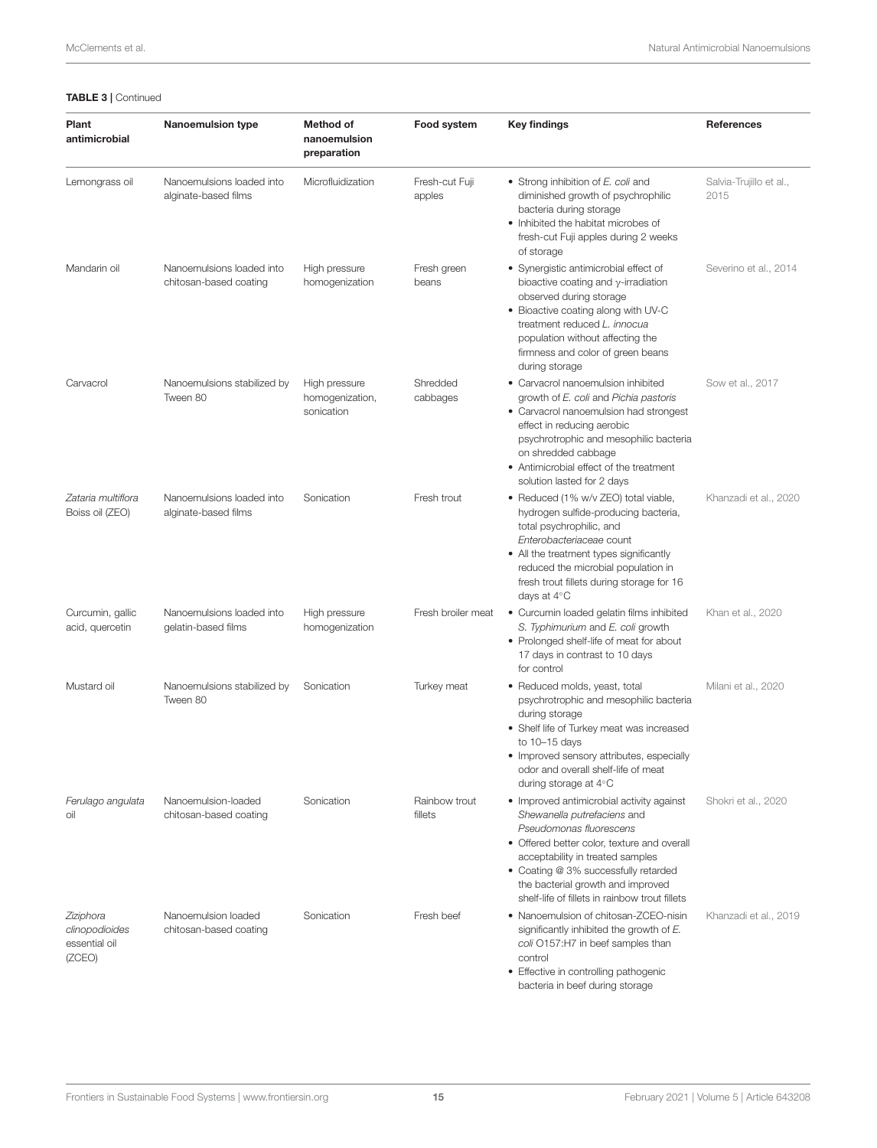| Plant<br>antimicrobial                                 | <b>Nanoemulsion type</b>                            | <b>Method of</b><br>nanoemulsion<br>preparation | Food system              | <b>Key findings</b>                                                                                                                                                                                                                                                                                                   | <b>References</b>               |
|--------------------------------------------------------|-----------------------------------------------------|-------------------------------------------------|--------------------------|-----------------------------------------------------------------------------------------------------------------------------------------------------------------------------------------------------------------------------------------------------------------------------------------------------------------------|---------------------------------|
| Lemongrass oil                                         | Nanoemulsions loaded into<br>alginate-based films   | Microfluidization                               | Fresh-cut Fuji<br>apples | • Strong inhibition of E. coli and<br>diminished growth of psychrophilic<br>bacteria during storage<br>• Inhibited the habitat microbes of<br>fresh-cut Fuji apples during 2 weeks<br>of storage                                                                                                                      | Salvia-Trujillo et al.,<br>2015 |
| Mandarin oil                                           | Nanoemulsions loaded into<br>chitosan-based coating | High pressure<br>homogenization                 | Fresh green<br>beans     | • Synergistic antimicrobial effect of<br>bioactive coating and $\gamma$ -irradiation<br>observed during storage<br>• Bioactive coating along with UV-C<br>treatment reduced L. innocua<br>population without affecting the<br>firmness and color of green beans<br>during storage                                     | Severino et al., 2014           |
| Carvacrol                                              | Nanoemulsions stabilized by<br>Tween 80             | High pressure<br>homogenization,<br>sonication  | Shredded<br>cabbages     | • Carvacrol nanoemulsion inhibited<br>growth of E. coli and Pichia pastoris<br>• Carvacrol nanoemulsion had strongest<br>effect in reducing aerobic<br>psychrotrophic and mesophilic bacteria<br>on shredded cabbage<br>• Antimicrobial effect of the treatment<br>solution lasted for 2 days                         | Sow et al., 2017                |
| Zataria multiflora<br>Boiss oil (ZEO)                  | Nanoemulsions loaded into<br>alginate-based films   | Sonication                                      | Fresh trout              | • Reduced (1% w/v ZEO) total viable,<br>hydrogen sulfide-producing bacteria,<br>total psychrophilic, and<br>Enterobacteriaceae count<br>• All the treatment types significantly<br>reduced the microbial population in<br>fresh trout fillets during storage for 16<br>days at $4^{\circ}$ C                          | Khanzadi et al., 2020           |
| Curcumin, gallic<br>acid, quercetin                    | Nanoemulsions loaded into<br>gelatin-based films    | High pressure<br>homogenization                 | Fresh broiler meat       | • Curcumin loaded gelatin films inhibited<br>S. Typhimurium and E. coli growth<br>• Prolonged shelf-life of meat for about<br>17 days in contrast to 10 days<br>for control                                                                                                                                           | Khan et al., 2020               |
| Mustard oil                                            | Nanoemulsions stabilized by<br>Tween 80             | Sonication                                      | Turkey meat              | • Reduced molds, yeast, total<br>psychrotrophic and mesophilic bacteria<br>during storage<br>• Shelf life of Turkey meat was increased<br>to $10 - 15$ days<br>• Improved sensory attributes, especially<br>odor and overall shelf-life of meat<br>during storage at 4°C                                              | Milani et al., 2020             |
| Ferulago angulata<br>oil                               | Nanoemulsion-loaded<br>chitosan-based coating       | Sonication                                      | Rainbow trout<br>fillets | • Improved antimicrobial activity against<br>Shewanella putrefaciens and<br>Pseudomonas fluorescens<br>• Offered better color, texture and overall<br>acceptability in treated samples<br>• Coating @ 3% successfully retarded<br>the bacterial growth and improved<br>shelf-life of fillets in rainbow trout fillets | Shokri et al., 2020             |
| Ziziphora<br>clinopodioides<br>essential oil<br>(ZCEO) | Nanoemulsion loaded<br>chitosan-based coating       | Sonication                                      | Fresh beef               | • Nanoemulsion of chitosan-ZCEO-nisin<br>significantly inhibited the growth of E.<br>coli O157:H7 in beef samples than<br>control<br>• Effective in controlling pathogenic<br>bacteria in beef during storage                                                                                                         | Khanzadi et al., 2019           |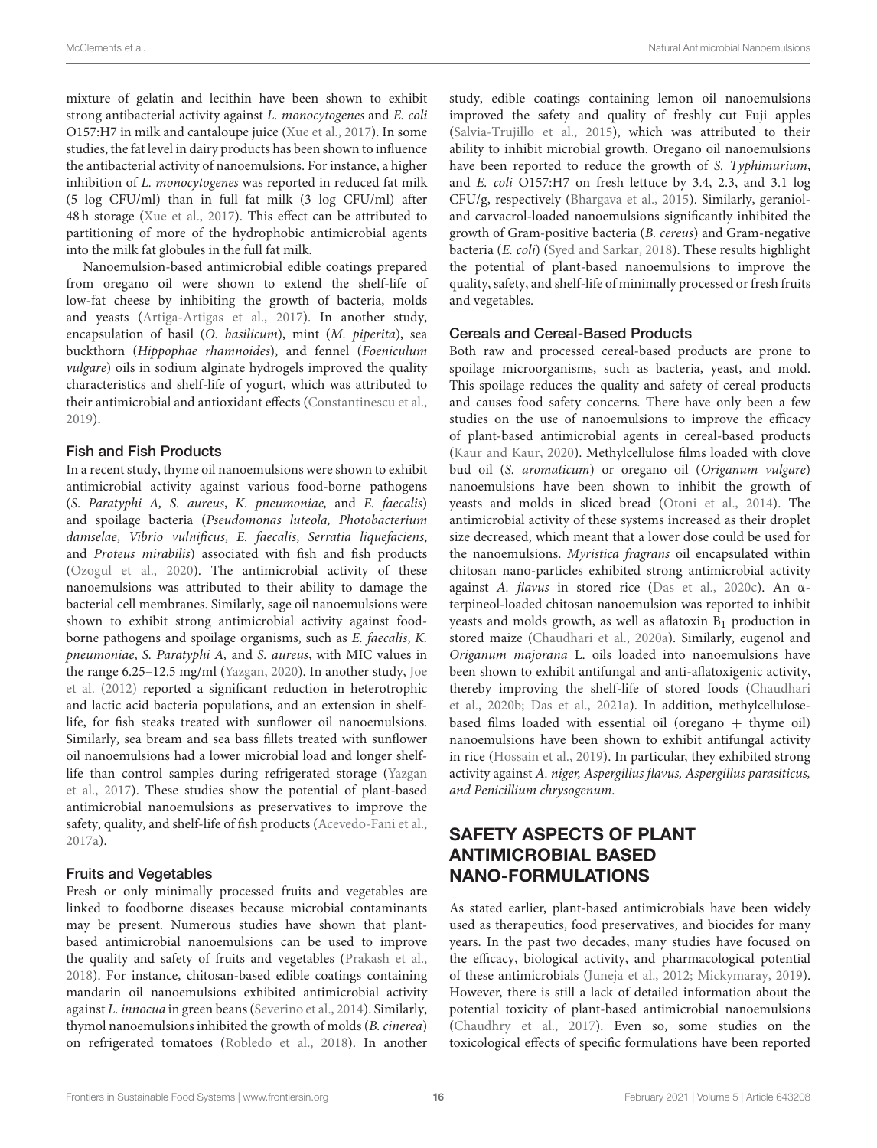mixture of gelatin and lecithin have been shown to exhibit strong antibacterial activity against L. monocytogenes and E. coli O157:H7 in milk and cantaloupe juice (Xue et al., 2017). In some studies, the fat level in dairy products has been shown to influence the antibacterial activity of nanoemulsions. For instance, a higher inhibition of L. monocytogenes was reported in reduced fat milk (5 log CFU/ml) than in full fat milk (3 log CFU/ml) after 48 h storage (Xue et al., 2017). This effect can be attributed to partitioning of more of the hydrophobic antimicrobial agents into the milk fat globules in the full fat milk.

Nanoemulsion-based antimicrobial edible coatings prepared from oregano oil were shown to extend the shelf-life of low-fat cheese by inhibiting the growth of bacteria, molds and yeasts (Artiga-Artigas et al., 2017). In another study, encapsulation of basil (O. basilicum), mint (M. piperita), sea buckthorn (Hippophae rhamnoides), and fennel (Foeniculum vulgare) oils in sodium alginate hydrogels improved the quality characteristics and shelf-life of yogurt, which was attributed to their antimicrobial and antioxidant effects (Constantinescu et al., 2019).

#### Fish and Fish Products

In a recent study, thyme oil nanoemulsions were shown to exhibit antimicrobial activity against various food-borne pathogens (S. Paratyphi A, S. aureus, K. pneumoniae, and E. faecalis) and spoilage bacteria (Pseudomonas luteola, Photobacterium damselae, Vibrio vulnificus, E. faecalis, Serratia liquefaciens, and Proteus mirabilis) associated with fish and fish products (Ozogul et al., 2020). The antimicrobial activity of these nanoemulsions was attributed to their ability to damage the bacterial cell membranes. Similarly, sage oil nanoemulsions were shown to exhibit strong antimicrobial activity against foodborne pathogens and spoilage organisms, such as E. faecalis, K. pneumoniae, S. Paratyphi A, and S. aureus, with MIC values in the range 6.25–12.5 mg/ml (Yazgan, 2020). In another study, Joe et al. (2012) reported a significant reduction in heterotrophic and lactic acid bacteria populations, and an extension in shelflife, for fish steaks treated with sunflower oil nanoemulsions. Similarly, sea bream and sea bass fillets treated with sunflower oil nanoemulsions had a lower microbial load and longer shelflife than control samples during refrigerated storage (Yazgan et al., 2017). These studies show the potential of plant-based antimicrobial nanoemulsions as preservatives to improve the safety, quality, and shelf-life of fish products (Acevedo-Fani et al., 2017a).

#### Fruits and Vegetables

Fresh or only minimally processed fruits and vegetables are linked to foodborne diseases because microbial contaminants may be present. Numerous studies have shown that plantbased antimicrobial nanoemulsions can be used to improve the quality and safety of fruits and vegetables (Prakash et al., 2018). For instance, chitosan-based edible coatings containing mandarin oil nanoemulsions exhibited antimicrobial activity against L. innocua in green beans (Severino et al., 2014). Similarly, thymol nanoemulsions inhibited the growth of molds (B. cinerea) on refrigerated tomatoes (Robledo et al., 2018). In another study, edible coatings containing lemon oil nanoemulsions improved the safety and quality of freshly cut Fuji apples (Salvia-Trujillo et al., 2015), which was attributed to their ability to inhibit microbial growth. Oregano oil nanoemulsions have been reported to reduce the growth of S. Typhimurium, and E. coli O157:H7 on fresh lettuce by 3.4, 2.3, and 3.1 log CFU/g, respectively (Bhargava et al., 2015). Similarly, geranioland carvacrol-loaded nanoemulsions significantly inhibited the growth of Gram-positive bacteria (B. cereus) and Gram-negative bacteria (E. coli) (Syed and Sarkar, 2018). These results highlight the potential of plant-based nanoemulsions to improve the quality, safety, and shelf-life of minimally processed or fresh fruits and vegetables.

## Cereals and Cereal-Based Products

Both raw and processed cereal-based products are prone to spoilage microorganisms, such as bacteria, yeast, and mold. This spoilage reduces the quality and safety of cereal products and causes food safety concerns. There have only been a few studies on the use of nanoemulsions to improve the efficacy of plant-based antimicrobial agents in cereal-based products (Kaur and Kaur, 2020). Methylcellulose films loaded with clove bud oil (S. aromaticum) or oregano oil (Origanum vulgare) nanoemulsions have been shown to inhibit the growth of yeasts and molds in sliced bread (Otoni et al., 2014). The antimicrobial activity of these systems increased as their droplet size decreased, which meant that a lower dose could be used for the nanoemulsions. Myristica fragrans oil encapsulated within chitosan nano-particles exhibited strong antimicrobial activity against A. flavus in stored rice (Das et al., 2020c). An αterpineol-loaded chitosan nanoemulsion was reported to inhibit yeasts and molds growth, as well as aflatoxin  $B_1$  production in stored maize (Chaudhari et al., 2020a). Similarly, eugenol and Origanum majorana L. oils loaded into nanoemulsions have been shown to exhibit antifungal and anti-aflatoxigenic activity, thereby improving the shelf-life of stored foods (Chaudhari et al., 2020b; Das et al., 2021a). In addition, methylcellulosebased films loaded with essential oil (oregano  $+$  thyme oil) nanoemulsions have been shown to exhibit antifungal activity in rice (Hossain et al., 2019). In particular, they exhibited strong activity against A. niger, Aspergillus flavus, Aspergillus parasiticus, and Penicillium chrysogenum.

# SAFETY ASPECTS OF PLANT ANTIMICROBIAL BASED NANO-FORMULATIONS

As stated earlier, plant-based antimicrobials have been widely used as therapeutics, food preservatives, and biocides for many years. In the past two decades, many studies have focused on the efficacy, biological activity, and pharmacological potential of these antimicrobials (Juneja et al., 2012; Mickymaray, 2019). However, there is still a lack of detailed information about the potential toxicity of plant-based antimicrobial nanoemulsions (Chaudhry et al., 2017). Even so, some studies on the toxicological effects of specific formulations have been reported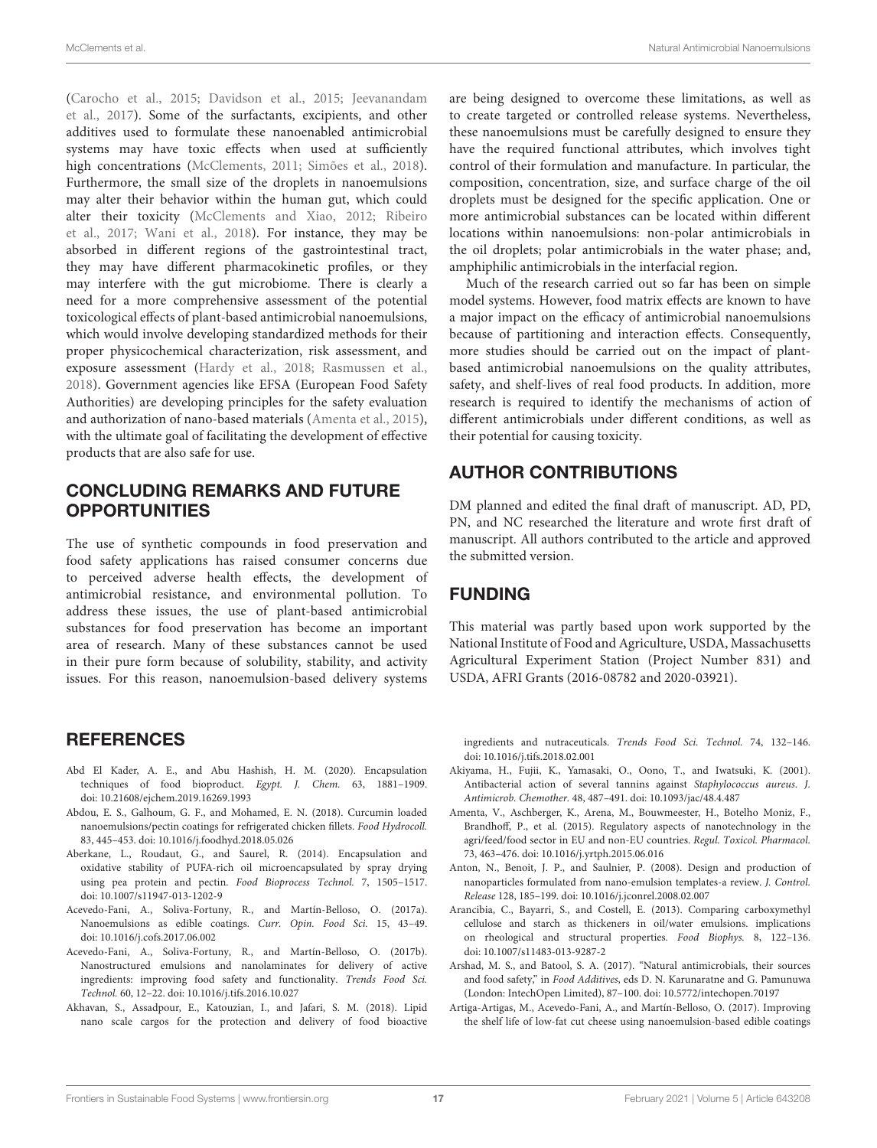(Carocho et al., 2015; Davidson et al., 2015; Jeevanandam et al., 2017). Some of the surfactants, excipients, and other additives used to formulate these nanoenabled antimicrobial systems may have toxic effects when used at sufficiently high concentrations (McClements, 2011; Simões et al., 2018). Furthermore, the small size of the droplets in nanoemulsions may alter their behavior within the human gut, which could alter their toxicity (McClements and Xiao, 2012; Ribeiro et al., 2017; Wani et al., 2018). For instance, they may be absorbed in different regions of the gastrointestinal tract, they may have different pharmacokinetic profiles, or they may interfere with the gut microbiome. There is clearly a need for a more comprehensive assessment of the potential toxicological effects of plant-based antimicrobial nanoemulsions, which would involve developing standardized methods for their proper physicochemical characterization, risk assessment, and exposure assessment (Hardy et al., 2018; Rasmussen et al., 2018). Government agencies like EFSA (European Food Safety Authorities) are developing principles for the safety evaluation and authorization of nano-based materials (Amenta et al., 2015), with the ultimate goal of facilitating the development of effective products that are also safe for use.

## CONCLUDING REMARKS AND FUTURE **OPPORTUNITIES**

The use of synthetic compounds in food preservation and food safety applications has raised consumer concerns due to perceived adverse health effects, the development of antimicrobial resistance, and environmental pollution. To address these issues, the use of plant-based antimicrobial substances for food preservation has become an important area of research. Many of these substances cannot be used in their pure form because of solubility, stability, and activity issues. For this reason, nanoemulsion-based delivery systems

## **REFERENCES**

- Abd El Kader, A. E., and Abu Hashish, H. M. (2020). Encapsulation techniques of food bioproduct. Egypt. J. Chem. 63, 1881–1909. doi: 10.21608/ejchem.2019.16269.1993
- Abdou, E. S., Galhoum, G. F., and Mohamed, E. N. (2018). Curcumin loaded nanoemulsions/pectin coatings for refrigerated chicken fillets. Food Hydrocoll. 83, 445–453. doi: 10.1016/j.foodhyd.2018.05.026
- Aberkane, L., Roudaut, G., and Saurel, R. (2014). Encapsulation and oxidative stability of PUFA-rich oil microencapsulated by spray drying using pea protein and pectin. Food Bioprocess Technol. 7, 1505–1517. doi: 10.1007/s11947-013-1202-9
- Acevedo-Fani, A., Soliva-Fortuny, R., and Martín-Belloso, O. (2017a). Nanoemulsions as edible coatings. Curr. Opin. Food Sci. 15, 43–49. doi: 10.1016/j.cofs.2017.06.002
- Acevedo-Fani, A., Soliva-Fortuny, R., and Martín-Belloso, O. (2017b). Nanostructured emulsions and nanolaminates for delivery of active ingredients: improving food safety and functionality. Trends Food Sci. Technol. 60, 12–22. doi: 10.1016/j.tifs.2016.10.027
- Akhavan, S., Assadpour, E., Katouzian, I., and Jafari, S. M. (2018). Lipid nano scale cargos for the protection and delivery of food bioactive

are being designed to overcome these limitations, as well as to create targeted or controlled release systems. Nevertheless, these nanoemulsions must be carefully designed to ensure they have the required functional attributes, which involves tight control of their formulation and manufacture. In particular, the composition, concentration, size, and surface charge of the oil droplets must be designed for the specific application. One or more antimicrobial substances can be located within different locations within nanoemulsions: non-polar antimicrobials in the oil droplets; polar antimicrobials in the water phase; and, amphiphilic antimicrobials in the interfacial region.

Much of the research carried out so far has been on simple model systems. However, food matrix effects are known to have a major impact on the efficacy of antimicrobial nanoemulsions because of partitioning and interaction effects. Consequently, more studies should be carried out on the impact of plantbased antimicrobial nanoemulsions on the quality attributes, safety, and shelf-lives of real food products. In addition, more research is required to identify the mechanisms of action of different antimicrobials under different conditions, as well as their potential for causing toxicity.

## AUTHOR CONTRIBUTIONS

DM planned and edited the final draft of manuscript. AD, PD, PN, and NC researched the literature and wrote first draft of manuscript. All authors contributed to the article and approved the submitted version.

## FUNDING

This material was partly based upon work supported by the National Institute of Food and Agriculture, USDA, Massachusetts Agricultural Experiment Station (Project Number 831) and USDA, AFRI Grants (2016-08782 and 2020-03921).

ingredients and nutraceuticals. Trends Food Sci. Technol. 74, 132–146. doi: 10.1016/j.tifs.2018.02.001

- Akiyama, H., Fujii, K., Yamasaki, O., Oono, T., and Iwatsuki, K. (2001). Antibacterial action of several tannins against Staphylococcus aureus. J. Antimicrob. Chemother. 48, 487–491. doi: 10.1093/jac/48.4.487
- Amenta, V., Aschberger, K., Arena, M., Bouwmeester, H., Botelho Moniz, F., Brandhoff, P., et al. (2015). Regulatory aspects of nanotechnology in the agri/feed/food sector in EU and non-EU countries. Regul. Toxicol. Pharmacol. 73, 463–476. doi: 10.1016/j.yrtph.2015.06.016
- Anton, N., Benoit, J. P., and Saulnier, P. (2008). Design and production of nanoparticles formulated from nano-emulsion templates-a review. J. Control. Release 128, 185–199. doi: 10.1016/j.jconrel.2008.02.007
- Arancibia, C., Bayarri, S., and Costell, E. (2013). Comparing carboxymethyl cellulose and starch as thickeners in oil/water emulsions. implications on rheological and structural properties. Food Biophys. 8, 122–136. doi: 10.1007/s11483-013-9287-2
- Arshad, M. S., and Batool, S. A. (2017). "Natural antimicrobials, their sources and food safety," in Food Additives, eds D. N. Karunaratne and G. Pamunuwa (London: IntechOpen Limited), 87–100. doi: 10.5772/intechopen.70197
- Artiga-Artigas, M., Acevedo-Fani, A., and Martín-Belloso, O. (2017). Improving the shelf life of low-fat cut cheese using nanoemulsion-based edible coatings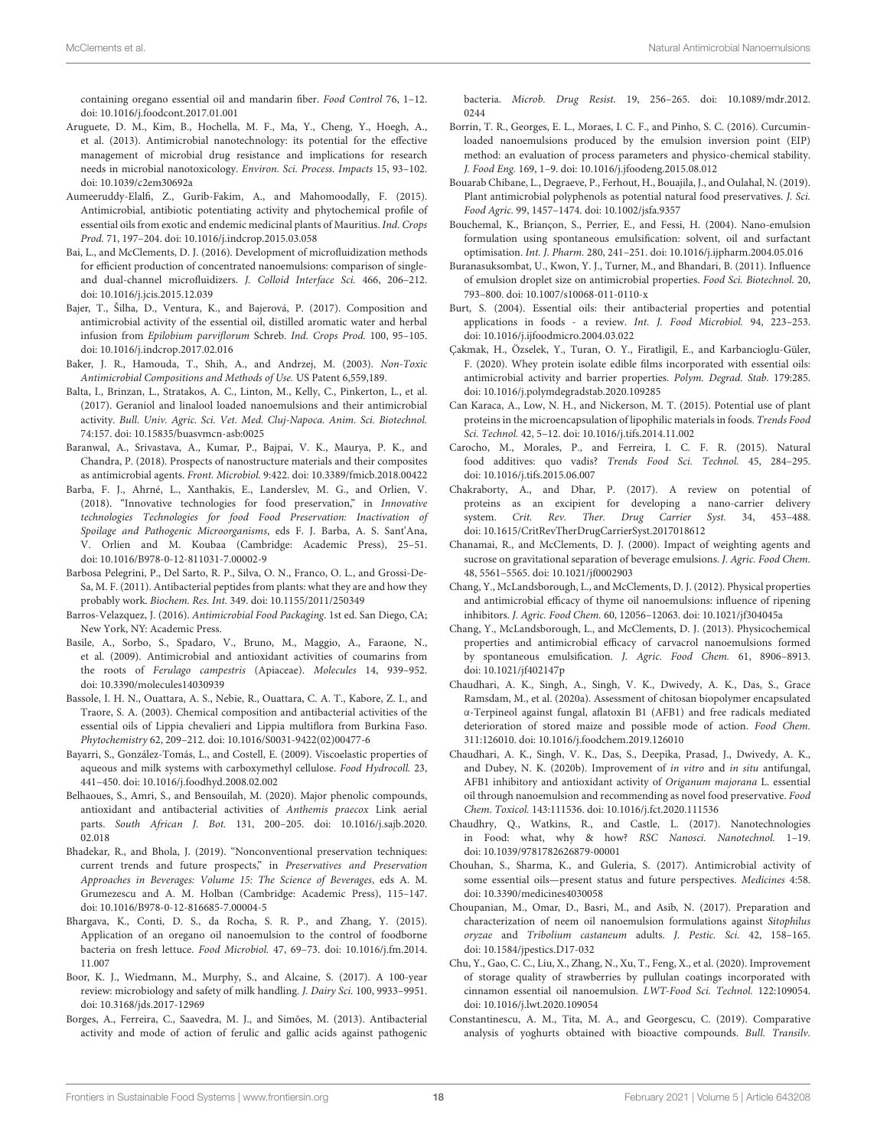containing oregano essential oil and mandarin fiber. Food Control 76, 1–12. doi: 10.1016/j.foodcont.2017.01.001

- Aruguete, D. M., Kim, B., Hochella, M. F., Ma, Y., Cheng, Y., Hoegh, A., et al. (2013). Antimicrobial nanotechnology: its potential for the effective management of microbial drug resistance and implications for research needs in microbial nanotoxicology. Environ. Sci. Process. Impacts 15, 93–102. doi: 10.1039/c2em30692a
- Aumeeruddy-Elalfi, Z., Gurib-Fakim, A., and Mahomoodally, F. (2015). Antimicrobial, antibiotic potentiating activity and phytochemical profile of essential oils from exotic and endemic medicinal plants of Mauritius. Ind. Crops Prod. 71, 197–204. doi: 10.1016/j.indcrop.2015.03.058
- Bai, L., and McClements, D. J. (2016). Development of microfluidization methods for efficient production of concentrated nanoemulsions: comparison of singleand dual-channel microfluidizers. J. Colloid Interface Sci. 466, 206–212. doi: 10.1016/j.jcis.2015.12.039
- Bajer, T., Šilha, D., Ventura, K., and Bajerová, P. (2017). Composition and antimicrobial activity of the essential oil, distilled aromatic water and herbal infusion from Epilobium parviflorum Schreb. Ind. Crops Prod. 100, 95–105. doi: 10.1016/j.indcrop.2017.02.016
- Baker, J. R., Hamouda, T., Shih, A., and Andrzej, M. (2003). Non-Toxic Antimicrobial Compositions and Methods of Use. US Patent 6,559,189.
- Balta, I., Brinzan, L., Stratakos, A. C., Linton, M., Kelly, C., Pinkerton, L., et al. (2017). Geraniol and linalool loaded nanoemulsions and their antimicrobial activity. Bull. Univ. Agric. Sci. Vet. Med. Cluj-Napoca. Anim. Sci. Biotechnol. 74:157. doi: 10.15835/buasvmcn-asb:0025
- Baranwal, A., Srivastava, A., Kumar, P., Bajpai, V. K., Maurya, P. K., and Chandra, P. (2018). Prospects of nanostructure materials and their composites as antimicrobial agents. Front. Microbiol. 9:422. doi: 10.3389/fmicb.2018.00422
- Barba, F. J., Ahrné, L., Xanthakis, E., Landerslev, M. G., and Orlien, V. (2018). "Innovative technologies for food preservation," in Innovative technologies Technologies for food Food Preservation: Inactivation of Spoilage and Pathogenic Microorganisms, eds F. J. Barba, A. S. Sant'Ana, V. Orlien and M. Koubaa (Cambridge: Academic Press), 25–51. doi: 10.1016/B978-0-12-811031-7.00002-9
- Barbosa Pelegrini, P., Del Sarto, R. P., Silva, O. N., Franco, O. L., and Grossi-De-Sa, M. F. (2011). Antibacterial peptides from plants: what they are and how they probably work. Biochem. Res. Int. 349. doi: 10.1155/2011/250349
- Barros-Velazquez, J. (2016). Antimicrobial Food Packaging. 1st ed. San Diego, CA; New York, NY: Academic Press.
- Basile, A., Sorbo, S., Spadaro, V., Bruno, M., Maggio, A., Faraone, N., et al. (2009). Antimicrobial and antioxidant activities of coumarins from the roots of Ferulago campestris (Apiaceae). Molecules 14, 939–952. doi: 10.3390/molecules14030939
- Bassole, I. H. N., Ouattara, A. S., Nebie, R., Ouattara, C. A. T., Kabore, Z. I., and Traore, S. A. (2003). Chemical composition and antibacterial activities of the essential oils of Lippia chevalieri and Lippia multiflora from Burkina Faso. Phytochemistry 62, 209–212. doi: 10.1016/S0031-9422(02)00477-6
- Bayarri, S., González-Tomás, L., and Costell, E. (2009). Viscoelastic properties of aqueous and milk systems with carboxymethyl cellulose. Food Hydrocoll. 23, 441–450. doi: 10.1016/j.foodhyd.2008.02.002
- Belhaoues, S., Amri, S., and Bensouilah, M. (2020). Major phenolic compounds, antioxidant and antibacterial activities of Anthemis praecox Link aerial parts. South African J. Bot. 131, 200–205. doi: 10.1016/j.sajb.2020. 02.018
- Bhadekar, R., and Bhola, J. (2019). "Nonconventional preservation techniques: current trends and future prospects," in Preservatives and Preservation Approaches in Beverages: Volume 15: The Science of Beverages, eds A. M. Grumezescu and A. M. Holban (Cambridge: Academic Press), 115–147. doi: 10.1016/B978-0-12-816685-7.00004-5
- Bhargava, K., Conti, D. S., da Rocha, S. R. P., and Zhang, Y. (2015). Application of an oregano oil nanoemulsion to the control of foodborne bacteria on fresh lettuce. Food Microbiol. 47, 69–73. doi: 10.1016/j.fm.2014. 11.007
- Boor, K. J., Wiedmann, M., Murphy, S., and Alcaine, S. (2017). A 100-year review: microbiology and safety of milk handling. J. Dairy Sci. 100, 9933–9951. doi: 10.3168/jds.2017-12969
- Borges, A., Ferreira, C., Saavedra, M. J., and Simões, M. (2013). Antibacterial activity and mode of action of ferulic and gallic acids against pathogenic

bacteria. Microb. Drug Resist. 19, 256–265. doi: 10.1089/mdr.2012. 0244

- Borrin, T. R., Georges, E. L., Moraes, I. C. F., and Pinho, S. C. (2016). Curcuminloaded nanoemulsions produced by the emulsion inversion point (EIP) method: an evaluation of process parameters and physico-chemical stability. J. Food Eng. 169, 1–9. doi: 10.1016/j.jfoodeng.2015.08.012
- Bouarab Chibane, L., Degraeve, P., Ferhout, H., Bouajila, J., and Oulahal, N. (2019). Plant antimicrobial polyphenols as potential natural food preservatives. J. Sci. Food Agric. 99, 1457–1474. doi: 10.1002/jsfa.9357
- Bouchemal, K., Briançon, S., Perrier, E., and Fessi, H. (2004). Nano-emulsion formulation using spontaneous emulsification: solvent, oil and surfactant optimisation. Int. J. Pharm. 280, 241–251. doi: 10.1016/j.ijpharm.2004.05.016
- Buranasuksombat, U., Kwon, Y. J., Turner, M., and Bhandari, B. (2011). Influence of emulsion droplet size on antimicrobial properties. Food Sci. Biotechnol. 20, 793–800. doi: 10.1007/s10068-011-0110-x
- Burt, S. (2004). Essential oils: their antibacterial properties and potential applications in foods - a review. Int. J. Food Microbiol. 94, 223–253. doi: 10.1016/j.ijfoodmicro.2004.03.022
- Çakmak, H., Özselek, Y., Turan, O. Y., Firatligil, E., and Karbancioglu-Güler, F. (2020). Whey protein isolate edible films incorporated with essential oils: antimicrobial activity and barrier properties. Polym. Degrad. Stab. 179:285. doi: 10.1016/j.polymdegradstab.2020.109285
- Can Karaca, A., Low, N. H., and Nickerson, M. T. (2015). Potential use of plant proteins in the microencapsulation of lipophilic materials in foods. Trends Food Sci. Technol. 42, 5–12. doi: 10.1016/j.tifs.2014.11.002
- Carocho, M., Morales, P., and Ferreira, I. C. F. R. (2015). Natural food additives: quo vadis? Trends Food Sci. Technol. 45, 284–295. doi: 10.1016/j.tifs.2015.06.007
- Chakraborty, A., and Dhar, P. (2017). A review on potential of proteins as an excipient for developing a nano-carrier delivery system. Crit. Rev. Ther. Drug Carrier Syst. 34, 453–488. doi: 10.1615/CritRevTherDrugCarrierSyst.2017018612
- Chanamai, R., and McClements, D. J. (2000). Impact of weighting agents and sucrose on gravitational separation of beverage emulsions. J. Agric. Food Chem. 48, 5561–5565. doi: 10.1021/jf0002903
- Chang, Y., McLandsborough, L., and McClements, D. J. (2012). Physical properties and antimicrobial efficacy of thyme oil nanoemulsions: influence of ripening inhibitors. J. Agric. Food Chem. 60, 12056–12063. doi: 10.1021/jf304045a
- Chang, Y., McLandsborough, L., and McClements, D. J. (2013). Physicochemical properties and antimicrobial efficacy of carvacrol nanoemulsions formed by spontaneous emulsification. J. Agric. Food Chem. 61, 8906–8913. doi: 10.1021/jf402147p
- Chaudhari, A. K., Singh, A., Singh, V. K., Dwivedy, A. K., Das, S., Grace Ramsdam, M., et al. (2020a). Assessment of chitosan biopolymer encapsulated α-Terpineol against fungal, aflatoxin B1 (AFB1) and free radicals mediated deterioration of stored maize and possible mode of action. Food Chem. 311:126010. doi: 10.1016/j.foodchem.2019.126010
- Chaudhari, A. K., Singh, V. K., Das, S., Deepika, Prasad, J., Dwivedy, A. K., and Dubey, N. K. (2020b). Improvement of in vitro and in situ antifungal, AFB1 inhibitory and antioxidant activity of Origanum majorana L. essential oil through nanoemulsion and recommending as novel food preservative. Food Chem. Toxicol. 143:111536. doi: 10.1016/j.fct.2020.111536
- Chaudhry, Q., Watkins, R., and Castle, L. (2017). Nanotechnologies in Food: what, why & how? RSC Nanosci. Nanotechnol. 1–19. doi: 10.1039/9781782626879-00001
- Chouhan, S., Sharma, K., and Guleria, S. (2017). Antimicrobial activity of some essential oils—present status and future perspectives. Medicines 4:58. doi: 10.3390/medicines4030058
- Choupanian, M., Omar, D., Basri, M., and Asib, N. (2017). Preparation and characterization of neem oil nanoemulsion formulations against Sitophilus oryzae and Tribolium castaneum adults. J. Pestic. Sci. 42, 158–165. doi: 10.1584/jpestics.D17-032
- Chu, Y., Gao, C. C., Liu, X., Zhang, N., Xu, T., Feng, X., et al. (2020). Improvement of storage quality of strawberries by pullulan coatings incorporated with cinnamon essential oil nanoemulsion. LWT-Food Sci. Technol. 122:109054. doi: 10.1016/j.lwt.2020.109054
- Constantinescu, A. M., Tita, M. A., and Georgescu, C. (2019). Comparative analysis of yoghurts obtained with bioactive compounds. Bull. Transilv.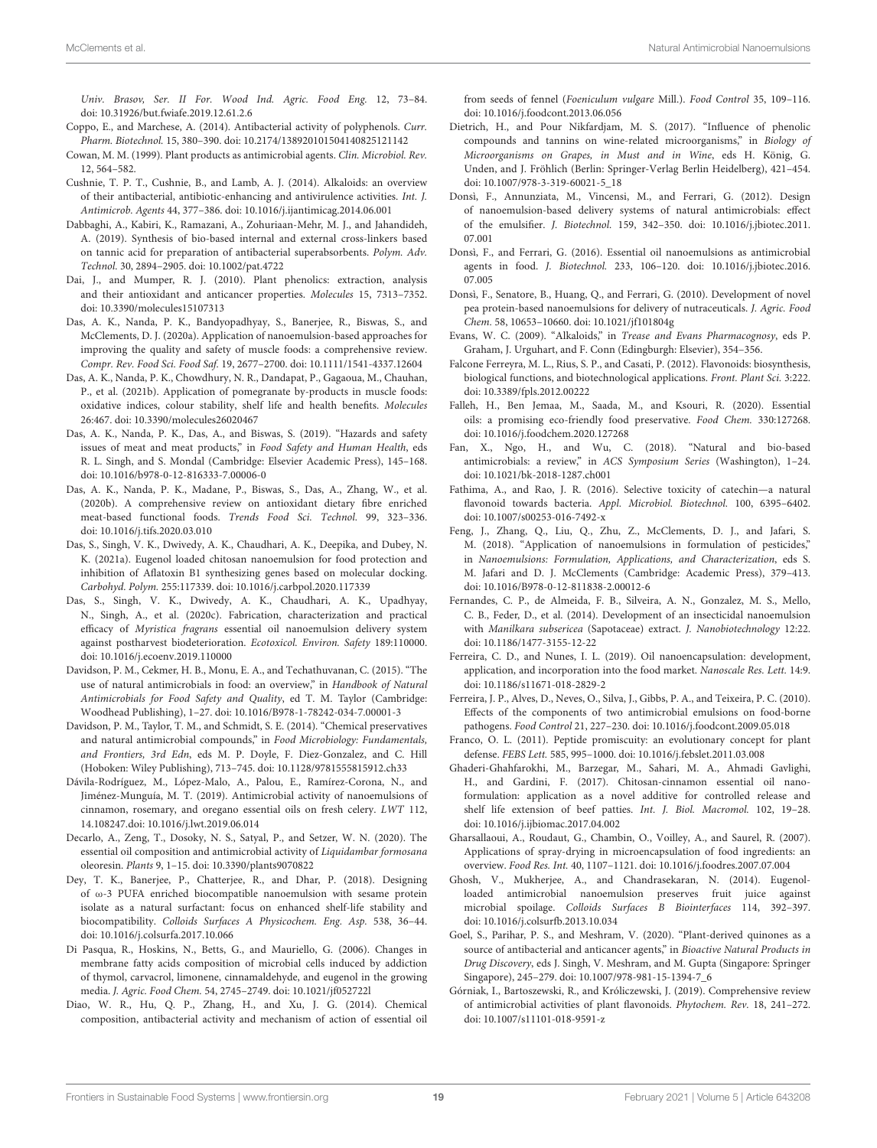Univ. Brasov, Ser. II For. Wood Ind. Agric. Food Eng. 12, 73–84. doi: 10.31926/but.fwiafe.2019.12.61.2.6

- Coppo, E., and Marchese, A. (2014). Antibacterial activity of polyphenols. Curr. Pharm. Biotechnol. 15, 380–390. doi: 10.2174/138920101504140825121142
- Cowan, M. M. (1999). Plant products as antimicrobial agents. Clin. Microbiol. Rev. 12, 564–582.
- Cushnie, T. P. T., Cushnie, B., and Lamb, A. J. (2014). Alkaloids: an overview of their antibacterial, antibiotic-enhancing and antivirulence activities. Int. J. Antimicrob. Agents 44, 377–386. doi: 10.1016/j.ijantimicag.2014.06.001
- Dabbaghi, A., Kabiri, K., Ramazani, A., Zohuriaan-Mehr, M. J., and Jahandideh, A. (2019). Synthesis of bio-based internal and external cross-linkers based on tannic acid for preparation of antibacterial superabsorbents. Polym. Adv. Technol. 30, 2894–2905. doi: 10.1002/pat.4722
- Dai, J., and Mumper, R. J. (2010). Plant phenolics: extraction, analysis and their antioxidant and anticancer properties. Molecules 15, 7313–7352. doi: 10.3390/molecules15107313
- Das, A. K., Nanda, P. K., Bandyopadhyay, S., Banerjee, R., Biswas, S., and McClements, D. J. (2020a). Application of nanoemulsion-based approaches for improving the quality and safety of muscle foods: a comprehensive review. Compr. Rev. Food Sci. Food Saf. 19, 2677–2700. doi: 10.1111/1541-4337.12604
- Das, A. K., Nanda, P. K., Chowdhury, N. R., Dandapat, P., Gagaoua, M., Chauhan, P., et al. (2021b). Application of pomegranate by-products in muscle foods: oxidative indices, colour stability, shelf life and health benefits. Molecules 26:467. doi: 10.3390/molecules26020467
- Das, A. K., Nanda, P. K., Das, A., and Biswas, S. (2019). "Hazards and safety issues of meat and meat products," in Food Safety and Human Health, eds R. L. Singh, and S. Mondal (Cambridge: Elsevier Academic Press), 145–168. doi: 10.1016/b978-0-12-816333-7.00006-0
- Das, A. K., Nanda, P. K., Madane, P., Biswas, S., Das, A., Zhang, W., et al. (2020b). A comprehensive review on antioxidant dietary fibre enriched meat-based functional foods. Trends Food Sci. Technol. 99, 323–336. doi: 10.1016/j.tifs.2020.03.010
- Das, S., Singh, V. K., Dwivedy, A. K., Chaudhari, A. K., Deepika, and Dubey, N. K. (2021a). Eugenol loaded chitosan nanoemulsion for food protection and inhibition of Aflatoxin B1 synthesizing genes based on molecular docking. Carbohyd. Polym. 255:117339. doi: 10.1016/j.carbpol.2020.117339
- Das, S., Singh, V. K., Dwivedy, A. K., Chaudhari, A. K., Upadhyay, N., Singh, A., et al. (2020c). Fabrication, characterization and practical efficacy of Myristica fragrans essential oil nanoemulsion delivery system against postharvest biodeterioration. Ecotoxicol. Environ. Safety 189:110000. doi: 10.1016/j.ecoenv.2019.110000
- Davidson, P. M., Cekmer, H. B., Monu, E. A., and Techathuvanan, C. (2015). "The use of natural antimicrobials in food: an overview," in Handbook of Natural Antimicrobials for Food Safety and Quality, ed T. M. Taylor (Cambridge: Woodhead Publishing), 1–27. doi: 10.1016/B978-1-78242-034-7.00001-3
- Davidson, P. M., Taylor, T. M., and Schmidt, S. E. (2014). "Chemical preservatives and natural antimicrobial compounds," in Food Microbiology: Fundamentals, and Frontiers, 3rd Edn, eds M. P. Doyle, F. Diez-Gonzalez, and C. Hill (Hoboken: Wiley Publishing), 713–745. doi: 10.1128/9781555815912.ch33
- Dávila-Rodríguez, M., López-Malo, A., Palou, E., Ramírez-Corona, N., and Jiménez-Munguía, M. T. (2019). Antimicrobial activity of nanoemulsions of cinnamon, rosemary, and oregano essential oils on fresh celery. LWT 112, 14.108247.doi: 10.1016/j.lwt.2019.06.014
- Decarlo, A., Zeng, T., Dosoky, N. S., Satyal, P., and Setzer, W. N. (2020). The essential oil composition and antimicrobial activity of Liquidambar formosana oleoresin. Plants 9, 1–15. doi: 10.3390/plants9070822
- Dey, T. K., Banerjee, P., Chatterjee, R., and Dhar, P. (2018). Designing of ω-3 PUFA enriched biocompatible nanoemulsion with sesame protein isolate as a natural surfactant: focus on enhanced shelf-life stability and biocompatibility. Colloids Surfaces A Physicochem. Eng. Asp. 538, 36–44. doi: 10.1016/j.colsurfa.2017.10.066
- Di Pasqua, R., Hoskins, N., Betts, G., and Mauriello, G. (2006). Changes in membrane fatty acids composition of microbial cells induced by addiction of thymol, carvacrol, limonene, cinnamaldehyde, and eugenol in the growing media. J. Agric. Food Chem. 54, 2745–2749. doi: 10.1021/jf052722l
- Diao, W. R., Hu, Q. P., Zhang, H., and Xu, J. G. (2014). Chemical composition, antibacterial activity and mechanism of action of essential oil

from seeds of fennel (Foeniculum vulgare Mill.). Food Control 35, 109–116. doi: 10.1016/j.foodcont.2013.06.056

- Dietrich, H., and Pour Nikfardjam, M. S. (2017). "Influence of phenolic compounds and tannins on wine-related microorganisms," in Biology of Microorganisms on Grapes, in Must and in Wine, eds H. König, G. Unden, and J. Fröhlich (Berlin: Springer-Verlag Berlin Heidelberg), 421–454. doi: 10.1007/978-3-319-60021-5\_18
- Donsì, F., Annunziata, M., Vincensi, M., and Ferrari, G. (2012). Design of nanoemulsion-based delivery systems of natural antimicrobials: effect of the emulsifier. J. Biotechnol. 159, 342–350. doi: 10.1016/j.jbiotec.2011. 07.001
- Donsì, F., and Ferrari, G. (2016). Essential oil nanoemulsions as antimicrobial agents in food. J. Biotechnol. 233, 106–120. doi: 10.1016/j.jbiotec.2016. 07.005
- Donsì, F., Senatore, B., Huang, Q., and Ferrari, G. (2010). Development of novel pea protein-based nanoemulsions for delivery of nutraceuticals. J. Agric. Food Chem. 58, 10653–10660. doi: 10.1021/jf101804g
- Evans, W. C. (2009). "Alkaloids," in Trease and Evans Pharmacognosy, eds P. Graham, J. Urguhart, and F. Conn (Edingburgh: Elsevier), 354–356.
- Falcone Ferreyra, M. L., Rius, S. P., and Casati, P. (2012). Flavonoids: biosynthesis, biological functions, and biotechnological applications. Front. Plant Sci. 3:222. doi: 10.3389/fpls.2012.00222
- Falleh, H., Ben Jemaa, M., Saada, M., and Ksouri, R. (2020). Essential oils: a promising eco-friendly food preservative. Food Chem. 330:127268. doi: 10.1016/j.foodchem.2020.127268
- Fan, X., Ngo, H., and Wu, C. (2018). "Natural and bio-based antimicrobials: a review," in ACS Symposium Series (Washington), 1–24. doi: 10.1021/bk-2018-1287.ch001
- Fathima, A., and Rao, J. R. (2016). Selective toxicity of catechin—a natural flavonoid towards bacteria. Appl. Microbiol. Biotechnol. 100, 6395–6402. doi: 10.1007/s00253-016-7492-x
- Feng, J., Zhang, Q., Liu, Q., Zhu, Z., McClements, D. J., and Jafari, S. M. (2018). "Application of nanoemulsions in formulation of pesticides," in Nanoemulsions: Formulation, Applications, and Characterization, eds S. M. Jafari and D. J. McClements (Cambridge: Academic Press), 379–413. doi: 10.1016/B978-0-12-811838-2.00012-6
- Fernandes, C. P., de Almeida, F. B., Silveira, A. N., Gonzalez, M. S., Mello, C. B., Feder, D., et al. (2014). Development of an insecticidal nanoemulsion with Manilkara subsericea (Sapotaceae) extract. J. Nanobiotechnology 12:22. doi: 10.1186/1477-3155-12-22
- Ferreira, C. D., and Nunes, I. L. (2019). Oil nanoencapsulation: development, application, and incorporation into the food market. Nanoscale Res. Lett. 14:9. doi: 10.1186/s11671-018-2829-2
- Ferreira, J. P., Alves, D., Neves, O., Silva, J., Gibbs, P. A., and Teixeira, P. C. (2010). Effects of the components of two antimicrobial emulsions on food-borne pathogens. Food Control 21, 227–230. doi: 10.1016/j.foodcont.2009.05.018
- Franco, O. L. (2011). Peptide promiscuity: an evolutionary concept for plant defense. FEBS Lett. 585, 995–1000. doi: 10.1016/j.febslet.2011.03.008
- Ghaderi-Ghahfarokhi, M., Barzegar, M., Sahari, M. A., Ahmadi Gavlighi, H., and Gardini, F. (2017). Chitosan-cinnamon essential oil nanoformulation: application as a novel additive for controlled release and shelf life extension of beef patties. Int. J. Biol. Macromol. 102, 19–28. doi: 10.1016/j.ijbiomac.2017.04.002
- Gharsallaoui, A., Roudaut, G., Chambin, O., Voilley, A., and Saurel, R. (2007). Applications of spray-drying in microencapsulation of food ingredients: an overview. Food Res. Int. 40, 1107–1121. doi: 10.1016/j.foodres.2007.07.004
- Ghosh, V., Mukherjee, A., and Chandrasekaran, N. (2014). Eugenolloaded antimicrobial nanoemulsion preserves fruit juice against microbial spoilage. Colloids Surfaces B Biointerfaces 114, 392–397. doi: 10.1016/j.colsurfb.2013.10.034
- Goel, S., Parihar, P. S., and Meshram, V. (2020). "Plant-derived quinones as a source of antibacterial and anticancer agents," in Bioactive Natural Products in Drug Discovery, eds J. Singh, V. Meshram, and M. Gupta (Singapore: Springer Singapore), 245–279. doi: 10.1007/978-981-15-1394-7\_6
- Górniak, I., Bartoszewski, R., and Króliczewski, J. (2019). Comprehensive review of antimicrobial activities of plant flavonoids. Phytochem. Rev. 18, 241–272. doi: 10.1007/s11101-018-9591-z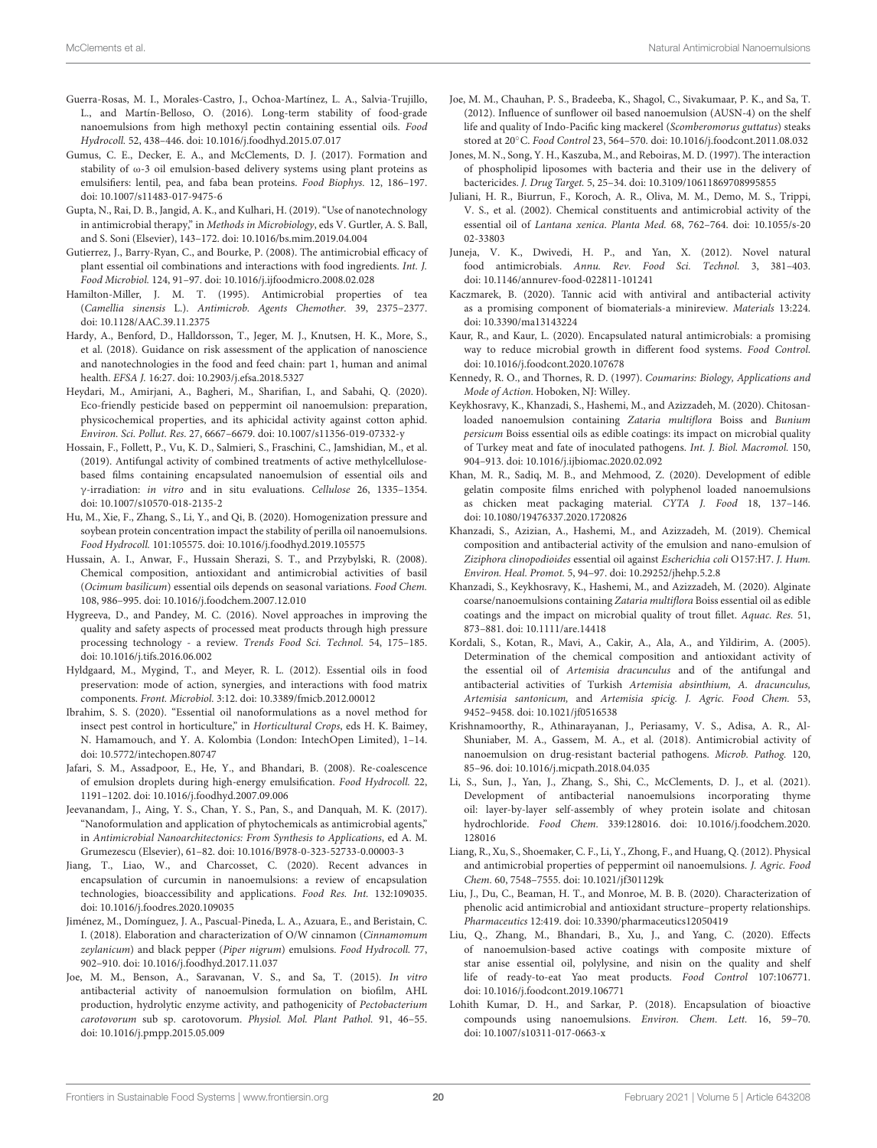- Guerra-Rosas, M. I., Morales-Castro, J., Ochoa-Martínez, L. A., Salvia-Trujillo, L., and Martín-Belloso, O. (2016). Long-term stability of food-grade nanoemulsions from high methoxyl pectin containing essential oils. Food Hydrocoll. 52, 438–446. doi: 10.1016/j.foodhyd.2015.07.017
- Gumus, C. E., Decker, E. A., and McClements, D. J. (2017). Formation and stability of ω-3 oil emulsion-based delivery systems using plant proteins as emulsifiers: lentil, pea, and faba bean proteins. Food Biophys. 12, 186–197. doi: 10.1007/s11483-017-9475-6
- Gupta, N., Rai, D. B., Jangid, A. K., and Kulhari, H. (2019). "Use of nanotechnology in antimicrobial therapy," in Methods in Microbiology, eds V. Gurtler, A. S. Ball, and S. Soni (Elsevier), 143–172. doi: 10.1016/bs.mim.2019.04.004
- Gutierrez, J., Barry-Ryan, C., and Bourke, P. (2008). The antimicrobial efficacy of plant essential oil combinations and interactions with food ingredients. Int. J. Food Microbiol. 124, 91–97. doi: 10.1016/j.ijfoodmicro.2008.02.028
- Hamilton-Miller, J. M. T. (1995). Antimicrobial properties of tea (Camellia sinensis L.). Antimicrob. Agents Chemother. 39, 2375–2377. doi: 10.1128/AAC.39.11.2375
- Hardy, A., Benford, D., Halldorsson, T., Jeger, M. J., Knutsen, H. K., More, S., et al. (2018). Guidance on risk assessment of the application of nanoscience and nanotechnologies in the food and feed chain: part 1, human and animal health. EFSA J. 16:27. doi: 10.2903/j.efsa.2018.5327
- Heydari, M., Amirjani, A., Bagheri, M., Sharifian, I., and Sabahi, Q. (2020). Eco-friendly pesticide based on peppermint oil nanoemulsion: preparation, physicochemical properties, and its aphicidal activity against cotton aphid. Environ. Sci. Pollut. Res. 27, 6667–6679. doi: 10.1007/s11356-019-07332-y
- Hossain, F., Follett, P., Vu, K. D., Salmieri, S., Fraschini, C., Jamshidian, M., et al. (2019). Antifungal activity of combined treatments of active methylcellulosebased films containing encapsulated nanoemulsion of essential oils and γ-irradiation: in vitro and in situ evaluations. Cellulose 26, 1335–1354. doi: 10.1007/s10570-018-2135-2
- Hu, M., Xie, F., Zhang, S., Li, Y., and Qi, B. (2020). Homogenization pressure and soybean protein concentration impact the stability of perilla oil nanoemulsions. Food Hydrocoll. 101:105575. doi: 10.1016/j.foodhyd.2019.105575
- Hussain, A. I., Anwar, F., Hussain Sherazi, S. T., and Przybylski, R. (2008). Chemical composition, antioxidant and antimicrobial activities of basil (Ocimum basilicum) essential oils depends on seasonal variations. Food Chem. 108, 986–995. doi: 10.1016/j.foodchem.2007.12.010
- Hygreeva, D., and Pandey, M. C. (2016). Novel approaches in improving the quality and safety aspects of processed meat products through high pressure processing technology - a review. Trends Food Sci. Technol. 54, 175–185. doi: 10.1016/j.tifs.2016.06.002
- Hyldgaard, M., Mygind, T., and Meyer, R. L. (2012). Essential oils in food preservation: mode of action, synergies, and interactions with food matrix components. Front. Microbiol. 3:12. doi: 10.3389/fmicb.2012.00012
- Ibrahim, S. S. (2020). "Essential oil nanoformulations as a novel method for insect pest control in horticulture," in Horticultural Crops, eds H. K. Baimey, N. Hamamouch, and Y. A. Kolombia (London: IntechOpen Limited), 1–14. doi: 10.5772/intechopen.80747
- Jafari, S. M., Assadpoor, E., He, Y., and Bhandari, B. (2008). Re-coalescence of emulsion droplets during high-energy emulsification. Food Hydrocoll. 22, 1191–1202. doi: 10.1016/j.foodhyd.2007.09.006
- Jeevanandam, J., Aing, Y. S., Chan, Y. S., Pan, S., and Danquah, M. K. (2017). "Nanoformulation and application of phytochemicals as antimicrobial agents," in Antimicrobial Nanoarchitectonics: From Synthesis to Applications, ed A. M. Grumezescu (Elsevier), 61–82. doi: 10.1016/B978-0-323-52733-0.00003-3
- Jiang, T., Liao, W., and Charcosset, C. (2020). Recent advances in encapsulation of curcumin in nanoemulsions: a review of encapsulation technologies, bioaccessibility and applications. Food Res. Int. 132:109035. doi: 10.1016/j.foodres.2020.109035
- Jiménez, M., Domínguez, J. A., Pascual-Pineda, L. A., Azuara, E., and Beristain, C. I. (2018). Elaboration and characterization of O/W cinnamon (Cinnamomum zeylanicum) and black pepper (Piper nigrum) emulsions. Food Hydrocoll. 77, 902–910. doi: 10.1016/j.foodhyd.2017.11.037
- Joe, M. M., Benson, A., Saravanan, V. S., and Sa, T. (2015). In vitro antibacterial activity of nanoemulsion formulation on biofilm, AHL production, hydrolytic enzyme activity, and pathogenicity of Pectobacterium carotovorum sub sp. carotovorum. Physiol. Mol. Plant Pathol. 91, 46–55. doi: 10.1016/j.pmpp.2015.05.009
- Joe, M. M., Chauhan, P. S., Bradeeba, K., Shagol, C., Sivakumaar, P. K., and Sa, T. (2012). Influence of sunflower oil based nanoemulsion (AUSN-4) on the shelf life and quality of Indo-Pacific king mackerel (Scomberomorus guttatus) steaks stored at 20◦C. Food Control 23, 564–570. doi: 10.1016/j.foodcont.2011.08.032
- Jones, M. N., Song, Y. H., Kaszuba, M., and Reboiras, M. D. (1997). The interaction of phospholipid liposomes with bacteria and their use in the delivery of bactericides. J. Drug Target. 5, 25–34. doi: 10.3109/10611869708995855
- Juliani, H. R., Biurrun, F., Koroch, A. R., Oliva, M. M., Demo, M. S., Trippi, V. S., et al. (2002). Chemical constituents and antimicrobial activity of the essential oil of Lantana xenica. Planta Med. 68, 762–764. doi: 10.1055/s-20 02-33803
- Juneja, V. K., Dwivedi, H. P., and Yan, X. (2012). Novel natural food antimicrobials. Annu. Rev. Food Sci. Technol. 3, 381–403. doi: 10.1146/annurev-food-022811-101241
- Kaczmarek, B. (2020). Tannic acid with antiviral and antibacterial activity as a promising component of biomaterials-a minireview. Materials 13:224. doi: 10.3390/ma13143224
- Kaur, R., and Kaur, L. (2020). Encapsulated natural antimicrobials: a promising way to reduce microbial growth in different food systems. Food Control. doi: 10.1016/j.foodcont.2020.107678
- Kennedy, R. O., and Thornes, R. D. (1997). Coumarins: Biology, Applications and Mode of Action. Hoboken, NJ: Willey.
- Keykhosravy, K., Khanzadi, S., Hashemi, M., and Azizzadeh, M. (2020). Chitosanloaded nanoemulsion containing Zataria multiflora Boiss and Bunium persicum Boiss essential oils as edible coatings: its impact on microbial quality of Turkey meat and fate of inoculated pathogens. Int. J. Biol. Macromol. 150, 904–913. doi: 10.1016/j.ijbiomac.2020.02.092
- Khan, M. R., Sadiq, M. B., and Mehmood, Z. (2020). Development of edible gelatin composite films enriched with polyphenol loaded nanoemulsions as chicken meat packaging material. CYTA J. Food 18, 137–146. doi: 10.1080/19476337.2020.1720826
- Khanzadi, S., Azizian, A., Hashemi, M., and Azizzadeh, M. (2019). Chemical composition and antibacterial activity of the emulsion and nano-emulsion of Ziziphora clinopodioides essential oil against Escherichia coli O157:H7. J. Hum. Environ. Heal. Promot. 5, 94–97. doi: 10.29252/jhehp.5.2.8
- Khanzadi, S., Keykhosravy, K., Hashemi, M., and Azizzadeh, M. (2020). Alginate coarse/nanoemulsions containing Zataria multiflora Boiss essential oil as edible coatings and the impact on microbial quality of trout fillet. Aquac. Res. 51, 873–881. doi: 10.1111/are.14418
- Kordali, S., Kotan, R., Mavi, A., Cakir, A., Ala, A., and Yildirim, A. (2005). Determination of the chemical composition and antioxidant activity of the essential oil of Artemisia dracunculus and of the antifungal and antibacterial activities of Turkish Artemisia absinthium, A. dracunculus, Artemisia santonicum, and Artemisia spicig. J. Agric. Food Chem. 53, 9452–9458. doi: 10.1021/jf0516538
- Krishnamoorthy, R., Athinarayanan, J., Periasamy, V. S., Adisa, A. R., Al-Shuniaber, M. A., Gassem, M. A., et al. (2018). Antimicrobial activity of nanoemulsion on drug-resistant bacterial pathogens. Microb. Pathog. 120, 85–96. doi: 10.1016/j.micpath.2018.04.035
- Li, S., Sun, J., Yan, J., Zhang, S., Shi, C., McClements, D. J., et al. (2021). Development of antibacterial nanoemulsions incorporating thyme oil: layer-by-layer self-assembly of whey protein isolate and chitosan hydrochloride. Food Chem. 339:128016. doi: 10.1016/j.foodchem.2020. 128016
- Liang, R., Xu, S., Shoemaker, C. F., Li, Y., Zhong, F., and Huang, Q. (2012). Physical and antimicrobial properties of peppermint oil nanoemulsions. J. Agric. Food Chem. 60, 7548–7555. doi: 10.1021/jf301129k
- Liu, J., Du, C., Beaman, H. T., and Monroe, M. B. B. (2020). Characterization of phenolic acid antimicrobial and antioxidant structure–property relationships. Pharmaceutics 12:419. doi: 10.3390/pharmaceutics12050419
- Liu, Q., Zhang, M., Bhandari, B., Xu, J., and Yang, C. (2020). Effects of nanoemulsion-based active coatings with composite mixture of star anise essential oil, polylysine, and nisin on the quality and shelf life of ready-to-eat Yao meat products. Food Control 107:106771. doi: 10.1016/j.foodcont.2019.106771
- Lohith Kumar, D. H., and Sarkar, P. (2018). Encapsulation of bioactive compounds using nanoemulsions. Environ. Chem. Lett. 16, 59–70. doi: 10.1007/s10311-017-0663-x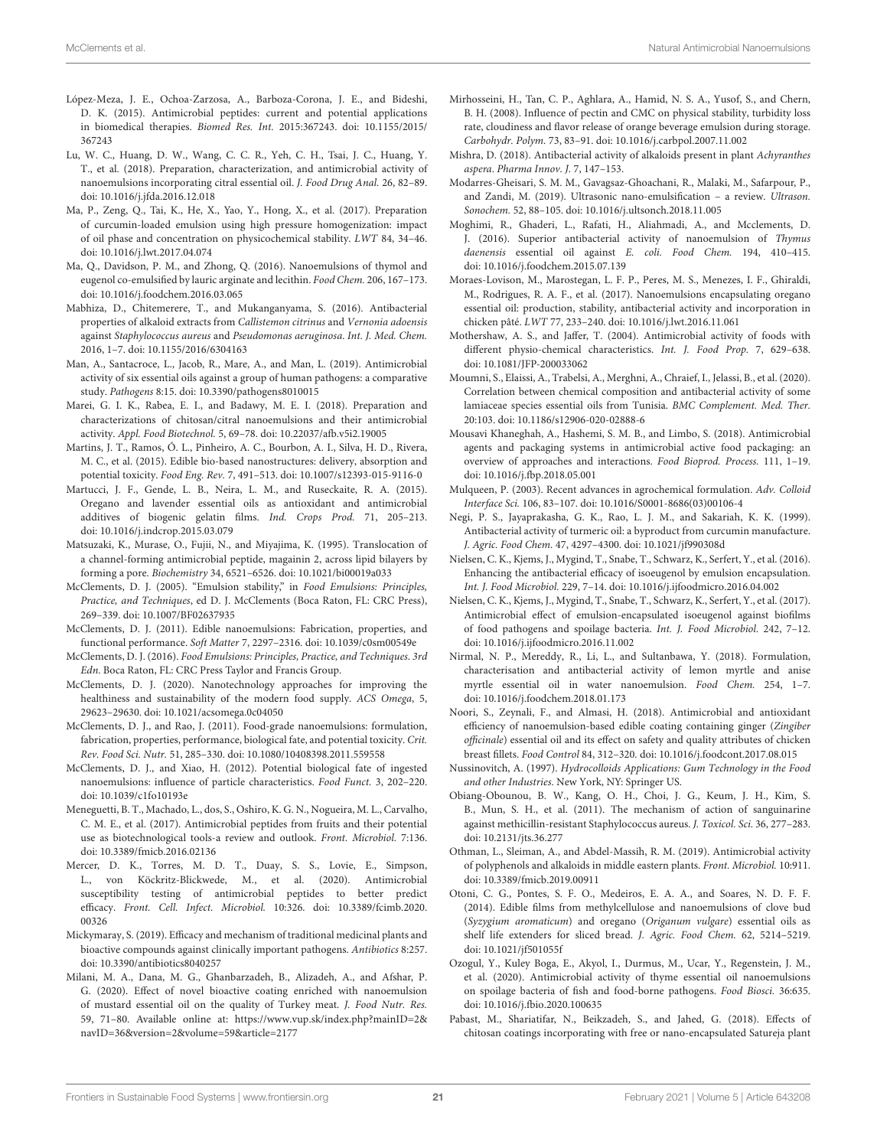- López-Meza, J. E., Ochoa-Zarzosa, A., Barboza-Corona, J. E., and Bideshi, D. K. (2015). Antimicrobial peptides: current and potential applications in biomedical therapies. Biomed Res. Int. 2015:367243. doi: 10.1155/2015/ 367243
- Lu, W. C., Huang, D. W., Wang, C. C. R., Yeh, C. H., Tsai, J. C., Huang, Y. T., et al. (2018). Preparation, characterization, and antimicrobial activity of nanoemulsions incorporating citral essential oil. J. Food Drug Anal. 26, 82–89. doi: 10.1016/j.jfda.2016.12.018
- Ma, P., Zeng, Q., Tai, K., He, X., Yao, Y., Hong, X., et al. (2017). Preparation of curcumin-loaded emulsion using high pressure homogenization: impact of oil phase and concentration on physicochemical stability. LWT 84, 34–46. doi: 10.1016/j.lwt.2017.04.074
- Ma, Q., Davidson, P. M., and Zhong, Q. (2016). Nanoemulsions of thymol and eugenol co-emulsified by lauric arginate and lecithin. Food Chem. 206, 167–173. doi: 10.1016/j.foodchem.2016.03.065
- Mabhiza, D., Chitemerere, T., and Mukanganyama, S. (2016). Antibacterial properties of alkaloid extracts from Callistemon citrinus and Vernonia adoensis against Staphylococcus aureus and Pseudomonas aeruginosa. Int. J. Med. Chem. 2016, 1–7. doi: 10.1155/2016/6304163
- Man, A., Santacroce, L., Jacob, R., Mare, A., and Man, L. (2019). Antimicrobial activity of six essential oils against a group of human pathogens: a comparative study. Pathogens 8:15. doi: 10.3390/pathogens8010015
- Marei, G. I. K., Rabea, E. I., and Badawy, M. E. I. (2018). Preparation and characterizations of chitosan/citral nanoemulsions and their antimicrobial activity. Appl. Food Biotechnol. 5, 69–78. doi: 10.22037/afb.v5i2.19005
- Martins, J. T., Ramos, Ó. L., Pinheiro, A. C., Bourbon, A. I., Silva, H. D., Rivera, M. C., et al. (2015). Edible bio-based nanostructures: delivery, absorption and potential toxicity. Food Eng. Rev. 7, 491–513. doi: 10.1007/s12393-015-9116-0
- Martucci, J. F., Gende, L. B., Neira, L. M., and Ruseckaite, R. A. (2015). Oregano and lavender essential oils as antioxidant and antimicrobial additives of biogenic gelatin films. Ind. Crops Prod. 71, 205–213. doi: 10.1016/j.indcrop.2015.03.079
- Matsuzaki, K., Murase, O., Fujii, N., and Miyajima, K. (1995). Translocation of a channel-forming antimicrobial peptide, magainin 2, across lipid bilayers by forming a pore. Biochemistry 34, 6521–6526. doi: 10.1021/bi00019a033
- McClements, D. J. (2005). "Emulsion stability," in Food Emulsions: Principles, Practice, and Techniques, ed D. J. McClements (Boca Raton, FL: CRC Press), 269–339. doi: 10.1007/BF02637935
- McClements, D. J. (2011). Edible nanoemulsions: Fabrication, properties, and functional performance. Soft Matter 7, 2297–2316. doi: 10.1039/c0sm00549e
- McClements, D. J. (2016). Food Emulsions: Principles, Practice, and Techniques. 3rd Edn. Boca Raton, FL: CRC Press Taylor and Francis Group.
- McClements, D. J. (2020). Nanotechnology approaches for improving the healthiness and sustainability of the modern food supply. ACS Omega, 5, 29623–29630. doi: 10.1021/acsomega.0c04050
- McClements, D. J., and Rao, J. (2011). Food-grade nanoemulsions: formulation, fabrication, properties, performance, biological fate, and potential toxicity. Crit. Rev. Food Sci. Nutr. 51, 285–330. doi: 10.1080/10408398.2011.559558
- McClements, D. J., and Xiao, H. (2012). Potential biological fate of ingested nanoemulsions: influence of particle characteristics. Food Funct. 3, 202–220. doi: 10.1039/c1fo10193e
- Meneguetti, B. T., Machado, L., dos, S., Oshiro, K. G. N., Nogueira, M. L., Carvalho, C. M. E., et al. (2017). Antimicrobial peptides from fruits and their potential use as biotechnological tools-a review and outlook. Front. Microbiol. 7:136. doi: 10.3389/fmicb.2016.02136
- Mercer, D. K., Torres, M. D. T., Duay, S. S., Lovie, E., Simpson, L., von Köckritz-Blickwede, M., et al. (2020). Antimicrobial susceptibility testing of antimicrobial peptides to better predict efficacy. Front. Cell. Infect. Microbiol. 10:326. doi: 10.3389/fcimb.2020. 00326
- Mickymaray, S. (2019). Efficacy and mechanism of traditional medicinal plants and bioactive compounds against clinically important pathogens. Antibiotics 8:257. doi: 10.3390/antibiotics8040257
- Milani, M. A., Dana, M. G., Ghanbarzadeh, B., Alizadeh, A., and Afshar, P. G. (2020). Effect of novel bioactive coating enriched with nanoemulsion of mustard essential oil on the quality of Turkey meat. J. Food Nutr. Res. 59, 71–80. Available online at: https://www.vup.sk/index.php?mainID=2& navID=36&version=2&volume=59&article=2177
- Mirhosseini, H., Tan, C. P., Aghlara, A., Hamid, N. S. A., Yusof, S., and Chern, B. H. (2008). Influence of pectin and CMC on physical stability, turbidity loss rate, cloudiness and flavor release of orange beverage emulsion during storage. Carbohydr. Polym. 73, 83–91. doi: 10.1016/j.carbpol.2007.11.002
- Mishra, D. (2018). Antibacterial activity of alkaloids present in plant Achyranthes aspera. Pharma Innov. J. 7, 147–153.
- Modarres-Gheisari, S. M. M., Gavagsaz-Ghoachani, R., Malaki, M., Safarpour, P., and Zandi, M. (2019). Ultrasonic nano-emulsification – a review. Ultrason. Sonochem. 52, 88–105. doi: 10.1016/j.ultsonch.2018.11.005
- Moghimi, R., Ghaderi, L., Rafati, H., Aliahmadi, A., and Mcclements, D. J. (2016). Superior antibacterial activity of nanoemulsion of Thymus daenensis essential oil against E. coli. Food Chem. 194, 410–415. doi: 10.1016/j.foodchem.2015.07.139
- Moraes-Lovison, M., Marostegan, L. F. P., Peres, M. S., Menezes, I. F., Ghiraldi, M., Rodrigues, R. A. F., et al. (2017). Nanoemulsions encapsulating oregano essential oil: production, stability, antibacterial activity and incorporation in chicken pâté. LWT 77, 233–240. doi: 10.1016/j.lwt.2016.11.061
- Mothershaw, A. S., and Jaffer, T. (2004). Antimicrobial activity of foods with different physio-chemical characteristics. Int. J. Food Prop. 7, 629–638. doi: 10.1081/JFP-200033062
- Moumni, S., Elaissi, A., Trabelsi, A., Merghni, A., Chraief, I., Jelassi, B., et al. (2020). Correlation between chemical composition and antibacterial activity of some lamiaceae species essential oils from Tunisia. BMC Complement. Med. Ther. 20:103. doi: 10.1186/s12906-020-02888-6
- Mousavi Khaneghah, A., Hashemi, S. M. B., and Limbo, S. (2018). Antimicrobial agents and packaging systems in antimicrobial active food packaging: an overview of approaches and interactions. Food Bioprod. Process. 111, 1–19. doi: 10.1016/j.fbp.2018.05.001
- Mulqueen, P. (2003). Recent advances in agrochemical formulation. Adv. Colloid Interface Sci. 106, 83–107. doi: 10.1016/S0001-8686(03)00106-4
- Negi, P. S., Jayaprakasha, G. K., Rao, L. J. M., and Sakariah, K. K. (1999). Antibacterial activity of turmeric oil: a byproduct from curcumin manufacture. J. Agric. Food Chem. 47, 4297–4300. doi: 10.1021/jf990308d
- Nielsen, C. K., Kjems, J., Mygind, T., Snabe, T., Schwarz, K., Serfert, Y., et al. (2016). Enhancing the antibacterial efficacy of isoeugenol by emulsion encapsulation. Int. J. Food Microbiol. 229, 7–14. doi: 10.1016/j.ijfoodmicro.2016.04.002
- Nielsen, C. K., Kjems, J., Mygind, T., Snabe, T., Schwarz, K., Serfert, Y., et al. (2017). Antimicrobial effect of emulsion-encapsulated isoeugenol against biofilms of food pathogens and spoilage bacteria. Int. J. Food Microbiol. 242, 7–12. doi: 10.1016/j.ijfoodmicro.2016.11.002
- Nirmal, N. P., Mereddy, R., Li, L., and Sultanbawa, Y. (2018). Formulation, characterisation and antibacterial activity of lemon myrtle and anise myrtle essential oil in water nanoemulsion. Food Chem. 254, 1–7. doi: 10.1016/j.foodchem.2018.01.173
- Noori, S., Zeynali, F., and Almasi, H. (2018). Antimicrobial and antioxidant efficiency of nanoemulsion-based edible coating containing ginger (Zingiber officinale) essential oil and its effect on safety and quality attributes of chicken breast fillets. Food Control 84, 312–320. doi: 10.1016/j.foodcont.2017.08.015
- Nussinovitch, A. (1997). Hydrocolloids Applications: Gum Technology in the Food and other Industries. New York, NY: Springer US.
- Obiang-Obounou, B. W., Kang, O. H., Choi, J. G., Keum, J. H., Kim, S. B., Mun, S. H., et al. (2011). The mechanism of action of sanguinarine against methicillin-resistant Staphylococcus aureus. J. Toxicol. Sci. 36, 277–283. doi: 10.2131/jts.36.277
- Othman, L., Sleiman, A., and Abdel-Massih, R. M. (2019). Antimicrobial activity of polyphenols and alkaloids in middle eastern plants. Front. Microbiol. 10:911. doi: 10.3389/fmicb.2019.00911
- Otoni, C. G., Pontes, S. F. O., Medeiros, E. A. A., and Soares, N. D. F. F. (2014). Edible films from methylcellulose and nanoemulsions of clove bud (Syzygium aromaticum) and oregano (Origanum vulgare) essential oils as shelf life extenders for sliced bread. J. Agric. Food Chem. 62, 5214–5219. doi: 10.1021/jf501055f
- Ozogul, Y., Kuley Boga, E., Akyol, I., Durmus, M., Ucar, Y., Regenstein, J. M., et al. (2020). Antimicrobial activity of thyme essential oil nanoemulsions on spoilage bacteria of fish and food-borne pathogens. Food Biosci. 36:635. doi: 10.1016/j.fbio.2020.100635
- Pabast, M., Shariatifar, N., Beikzadeh, S., and Jahed, G. (2018). Effects of chitosan coatings incorporating with free or nano-encapsulated Satureja plant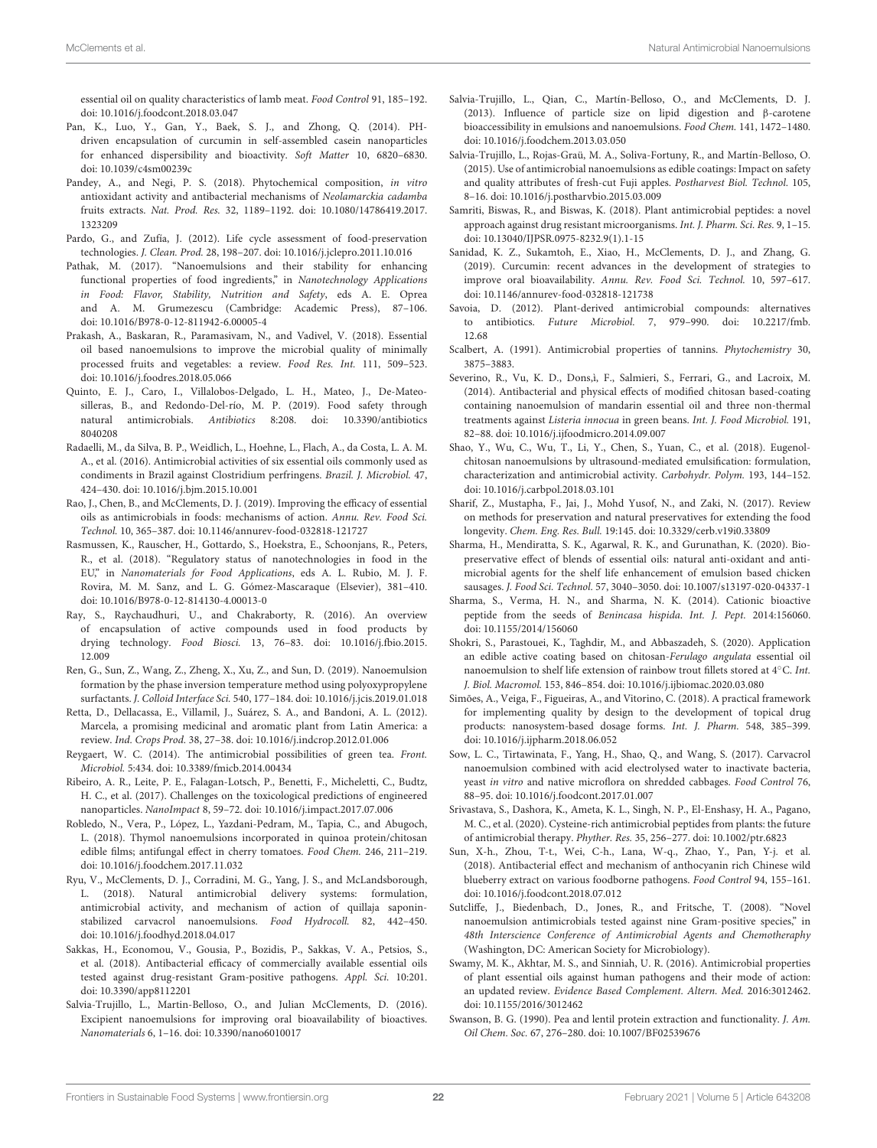essential oil on quality characteristics of lamb meat. Food Control 91, 185–192. doi: 10.1016/j.foodcont.2018.03.047

- Pan, K., Luo, Y., Gan, Y., Baek, S. J., and Zhong, Q. (2014). PHdriven encapsulation of curcumin in self-assembled casein nanoparticles for enhanced dispersibility and bioactivity. Soft Matter 10, 6820–6830. doi: 10.1039/c4sm00239c
- Pandey, A., and Negi, P. S. (2018). Phytochemical composition, in vitro antioxidant activity and antibacterial mechanisms of Neolamarckia cadamba fruits extracts. Nat. Prod. Res. 32, 1189–1192. doi: 10.1080/14786419.2017. 1323209
- Pardo, G., and Zufía, J. (2012). Life cycle assessment of food-preservation technologies. J. Clean. Prod. 28, 198–207. doi: 10.1016/j.jclepro.2011.10.016
- Pathak, M. (2017). "Nanoemulsions and their stability for enhancing functional properties of food ingredients," in Nanotechnology Applications in Food: Flavor, Stability, Nutrition and Safety, eds A. E. Oprea and A. M. Grumezescu (Cambridge: Academic Press), 87–106. doi: 10.1016/B978-0-12-811942-6.00005-4
- Prakash, A., Baskaran, R., Paramasivam, N., and Vadivel, V. (2018). Essential oil based nanoemulsions to improve the microbial quality of minimally processed fruits and vegetables: a review. Food Res. Int. 111, 509–523. doi: 10.1016/j.foodres.2018.05.066
- Quinto, E. J., Caro, I., Villalobos-Delgado, L. H., Mateo, J., De-Mateosilleras, B., and Redondo-Del-río, M. P. (2019). Food safety through natural antimicrobials. Antibiotics 8:208. doi: 10.3390/antibiotics 8040208
- Radaelli, M., da Silva, B. P., Weidlich, L., Hoehne, L., Flach, A., da Costa, L. A. M. A., et al. (2016). Antimicrobial activities of six essential oils commonly used as condiments in Brazil against Clostridium perfringens. Brazil. J. Microbiol. 47, 424–430. doi: 10.1016/j.bjm.2015.10.001
- Rao, J., Chen, B., and McClements, D. J. (2019). Improving the efficacy of essential oils as antimicrobials in foods: mechanisms of action. Annu. Rev. Food Sci. Technol. 10, 365–387. doi: 10.1146/annurev-food-032818-121727
- Rasmussen, K., Rauscher, H., Gottardo, S., Hoekstra, E., Schoonjans, R., Peters, R., et al. (2018). "Regulatory status of nanotechnologies in food in the EU," in Nanomaterials for Food Applications, eds A. L. Rubio, M. J. F. Rovira, M. M. Sanz, and L. G. Gómez-Mascaraque (Elsevier), 381–410. doi: 10.1016/B978-0-12-814130-4.00013-0
- Ray, S., Raychaudhuri, U., and Chakraborty, R. (2016). An overview of encapsulation of active compounds used in food products by drying technology. Food Biosci. 13, 76–83. doi: 10.1016/j.fbio.2015. 12.009
- Ren, G., Sun, Z., Wang, Z., Zheng, X., Xu, Z., and Sun, D. (2019). Nanoemulsion formation by the phase inversion temperature method using polyoxypropylene surfactants. J. Colloid Interface Sci. 540, 177–184. doi: 10.1016/j.jcis.2019.01.018
- Retta, D., Dellacassa, E., Villamil, J., Suárez, S. A., and Bandoni, A. L. (2012). Marcela, a promising medicinal and aromatic plant from Latin America: a review. Ind. Crops Prod. 38, 27–38. doi: 10.1016/j.indcrop.2012.01.006
- Reygaert, W. C. (2014). The antimicrobial possibilities of green tea. Front. Microbiol. 5:434. doi: 10.3389/fmicb.2014.00434
- Ribeiro, A. R., Leite, P. E., Falagan-Lotsch, P., Benetti, F., Micheletti, C., Budtz, H. C., et al. (2017). Challenges on the toxicological predictions of engineered nanoparticles. NanoImpact 8, 59–72. doi: 10.1016/j.impact.2017.07.006
- Robledo, N., Vera, P., López, L., Yazdani-Pedram, M., Tapia, C., and Abugoch, L. (2018). Thymol nanoemulsions incorporated in quinoa protein/chitosan edible films; antifungal effect in cherry tomatoes. Food Chem. 246, 211–219. doi: 10.1016/j.foodchem.2017.11.032
- Ryu, V., McClements, D. J., Corradini, M. G., Yang, J. S., and McLandsborough, L. (2018). Natural antimicrobial delivery systems: formulation, antimicrobial activity, and mechanism of action of quillaja saponinstabilized carvacrol nanoemulsions. Food Hydrocoll. 82, 442–450. doi: 10.1016/j.foodhyd.2018.04.017
- Sakkas, H., Economou, V., Gousia, P., Bozidis, P., Sakkas, V. A., Petsios, S., et al. (2018). Antibacterial efficacy of commercially available essential oils tested against drug-resistant Gram-positive pathogens. Appl. Sci. 10:201. doi: 10.3390/app8112201
- Salvia-Trujillo, L., Martin-Belloso, O., and Julian McClements, D. (2016). Excipient nanoemulsions for improving oral bioavailability of bioactives. Nanomaterials 6, 1–16. doi: 10.3390/nano6010017
- Salvia-Trujillo, L., Qian, C., Martín-Belloso, O., and McClements, D. J. (2013). Influence of particle size on lipid digestion and β-carotene bioaccessibility in emulsions and nanoemulsions. Food Chem. 141, 1472–1480. doi: 10.1016/j.foodchem.2013.03.050
- Salvia-Trujillo, L., Rojas-Graü, M. A., Soliva-Fortuny, R., and Martín-Belloso, O. (2015). Use of antimicrobial nanoemulsions as edible coatings: Impact on safety and quality attributes of fresh-cut Fuji apples. Postharvest Biol. Technol. 105, 8–16. doi: 10.1016/j.postharvbio.2015.03.009
- Samriti, Biswas, R., and Biswas, K. (2018). Plant antimicrobial peptides: a novel approach against drug resistant microorganisms. Int. J. Pharm. Sci. Res. 9, 1–15. doi: 10.13040/IJPSR.0975-8232.9(1).1-15
- Sanidad, K. Z., Sukamtoh, E., Xiao, H., McClements, D. J., and Zhang, G. (2019). Curcumin: recent advances in the development of strategies to improve oral bioavailability. Annu. Rev. Food Sci. Technol. 10, 597–617. doi: 10.1146/annurev-food-032818-121738
- Savoia, D. (2012). Plant-derived antimicrobial compounds: alternatives to antibiotics. Future Microbiol. 7, 979–990. doi: 10.2217/fmb. 12.68
- Scalbert, A. (1991). Antimicrobial properties of tannins. Phytochemistry 30, 3875–3883.
- Severino, R., Vu, K. D., Dons,ì, F., Salmieri, S., Ferrari, G., and Lacroix, M. (2014). Antibacterial and physical effects of modified chitosan based-coating containing nanoemulsion of mandarin essential oil and three non-thermal treatments against Listeria innocua in green beans. Int. J. Food Microbiol. 191, 82–88. doi: 10.1016/j.ijfoodmicro.2014.09.007
- Shao, Y., Wu, C., Wu, T., Li, Y., Chen, S., Yuan, C., et al. (2018). Eugenolchitosan nanoemulsions by ultrasound-mediated emulsification: formulation, characterization and antimicrobial activity. Carbohydr. Polym. 193, 144–152. doi: 10.1016/j.carbpol.2018.03.101
- Sharif, Z., Mustapha, F., Jai, J., Mohd Yusof, N., and Zaki, N. (2017). Review on methods for preservation and natural preservatives for extending the food longevity. Chem. Eng. Res. Bull. 19:145. doi: 10.3329/cerb.v19i0.33809
- Sharma, H., Mendiratta, S. K., Agarwal, R. K., and Gurunathan, K. (2020). Biopreservative effect of blends of essential oils: natural anti-oxidant and antimicrobial agents for the shelf life enhancement of emulsion based chicken sausages. J. Food Sci. Technol. 57, 3040–3050. doi: 10.1007/s13197-020-04337-1
- Sharma, S., Verma, H. N., and Sharma, N. K. (2014). Cationic bioactive peptide from the seeds of Benincasa hispida. Int. J. Pept. 2014:156060. doi: 10.1155/2014/156060
- Shokri, S., Parastouei, K., Taghdir, M., and Abbaszadeh, S. (2020). Application an edible active coating based on chitosan-Ferulago angulata essential oil nanoemulsion to shelf life extension of rainbow trout fillets stored at  $4^{\circ}$ C. Int. J. Biol. Macromol. 153, 846–854. doi: 10.1016/j.ijbiomac.2020.03.080
- Simões, A., Veiga, F., Figueiras, A., and Vitorino, C. (2018). A practical framework for implementing quality by design to the development of topical drug products: nanosystem-based dosage forms. Int. J. Pharm. 548, 385–399. doi: 10.1016/j.ijpharm.2018.06.052
- Sow, L. C., Tirtawinata, F., Yang, H., Shao, Q., and Wang, S. (2017). Carvacrol nanoemulsion combined with acid electrolysed water to inactivate bacteria, yeast in vitro and native microflora on shredded cabbages. Food Control 76, 88–95. doi: 10.1016/j.foodcont.2017.01.007
- Srivastava, S., Dashora, K., Ameta, K. L., Singh, N. P., El-Enshasy, H. A., Pagano, M. C., et al. (2020). Cysteine-rich antimicrobial peptides from plants: the future of antimicrobial therapy. Phyther. Res. 35, 256–277. doi: 10.1002/ptr.6823
- Sun, X-h., Zhou, T-t., Wei, C-h., Lana, W-q., Zhao, Y., Pan, Y-j. et al. (2018). Antibacterial effect and mechanism of anthocyanin rich Chinese wild blueberry extract on various foodborne pathogens. Food Control 94, 155–161. doi: 10.1016/j.foodcont.2018.07.012
- Sutcliffe, J., Biedenbach, D., Jones, R., and Fritsche, T. (2008). "Novel nanoemulsion antimicrobials tested against nine Gram-positive species," in 48th Interscience Conference of Antimicrobial Agents and Chemotheraphy (Washington, DC: American Society for Microbiology).
- Swamy, M. K., Akhtar, M. S., and Sinniah, U. R. (2016). Antimicrobial properties of plant essential oils against human pathogens and their mode of action: an updated review. Evidence Based Complement. Altern. Med. 2016:3012462. doi: 10.1155/2016/3012462
- Swanson, B. G. (1990). Pea and lentil protein extraction and functionality. J. Am. Oil Chem. Soc. 67, 276–280. doi: 10.1007/BF02539676